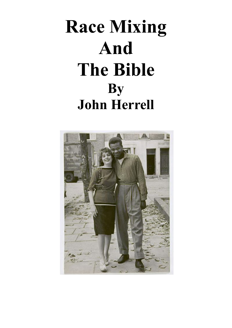# **Race Mixing And The Bible By John Herrell**

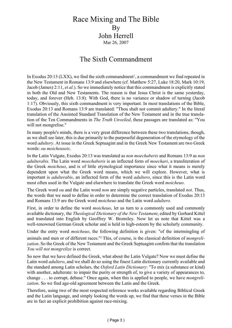## Race Mixing and The Bible By John Herrell Mar 26, 2007

## The Sixth Commandment

In Exodus 20:13 (LXX), we find the sixth commandment<sup>1</sup>, a commandment we find repeated in the New Testament in Romans 13:9 and elsewhere (cf. Matthew 5:27, Luke 18:20, Mark 10:19, Jacob (James) 2:11, *et al.*). So we immediately notice that this commandment is explicitly stated in both the Old and New Testaments. The reason is that Jesus Christ is the same yesterday, today, and forever (Heb. 13:8). With God, there is no variance or shadow of turning (Jacob 1:17). Obviously, this sixth commandment is very important. In most translations of the Bible, Exodus 20:13 and Romans 13:9 are translated: "Thou shalt not commit adultery." In the literal translation of the Anointed Standard Translation of the New Testament and in the true translation of the Ten Commandments in *The Truth Unveiled*, these passages are translated as: "You will not mongrelise."

In many people's minds, there is a very great difference between these two translations, though, as we shall see later, this is due primarily to the purposeful degeneration of the etymology of the word *adultery*. At issue in the Greek Septuagint and in the Greek New Testament are two Greek words: *ou moicheuseis*.

In the Latin Vulgate, Exodus 20:13 was translated as *non moechaberis* and Romans 13:9 as *non adulterabis*. The Latin word *moechaberis* is an inflected form of *moechari*, a transliteration of the Greek *moicheuo*, and is of little etymological importance since what it means is merely dependent upon what the Greek word means, which we will explore. However, what is important is *adulterabis*, an inflected form of the word *adultero*, since this is the Latin word most often used in the Vulgate and elsewhere to translate the Greek word *moicheuo*.

The Greek word *ou* and the Latin word *non* are simply negative particles, translated *not*. Thus, the words that we need to define in order to determine the correct translation of Exodus 20:13 and Romans 13:9 are the Greek word *moicheuo* and the Latin word *adultero*.

First, in order to define the word *moicheuo*, let us turn to a commonly used and commonly available dictionary, the *Theological Dictionary of the New Testament*, edited by Gerhard Kittel and translated into English by Geoffrey W. Bromiley. Now let us note that Kittel was a well-renowned German Greek scholar and is held in high-esteem by the scholarly community.

Under the entry word *moicheuo*, the following definition is given: "of the intermingling of animals and men or of different races."<sup>2</sup> This, of course, is the classical definition of *mongrelization*. So the Greek of the New Testament and the Greek Septuagint confirm that the translation *You will not mongrelize* is correct.

So now that we have defined the Greek, what about the Latin Vulgate? Now we must define the Latin word *adultero*, and we shall do so using the finest Latin dictionary currently available and the standard among Latin scholars, the *Oxford Latin Dictionary*: "To mix (a substance or kind) with another, adulterate: to impair the purity or strength of, to give a variety of appearances to, change . . . to corrupt, debase." Once again, when this is applied to people, we have *mongrelization*. So we find age-old agreement between the Latin and the Greek.

Therefore, using two of the most respected reference works available regarding Biblical Greek and the Latin language, and simply looking the words up, we find that these verses in the Bible are in fact an explicit prohibition against race-mixing.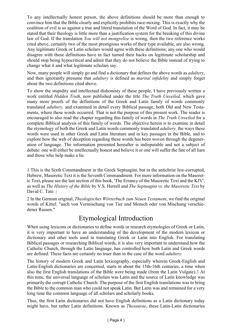To any intellectually honest person, the above definitions should be more than enough to convince him that the Bible clearly and explicitly prohibits race-mixing. This is exactly why the coalition of evil is so against a true and literal translation of the Word of God. In fact, it may be stated that their theology is little more than a justification system for the breaking of this divine law of God. If the translation *You will not mongrelize* is wrong, then the two reference works cited above, certainly two of the most prestigious works of their type available, are also wrong. Any legitimate Greek or Latin scholars would agree with these definitions; any one who would disagree with these definitions have in fact turned their backs on legitimate scholarship and should stop being hypocritical and admit that they do not believe the Bible instead of trying to change what it and what legitimate scholars say.

Now, many people will simply go and find a dictionary that defines the above words as *adultery*, and then ignorantly presume that *adultery* is defined as *marital infidelity* and simply forget about the two definitions cited above.

To show the stupidity and intellectual dishonesty of these people, I have previously written a work entitled *Hidden Truth*, now published under the title *The Truth Unveiled,* which gave many more proofs of the definitions of the Greek and Latin family of words commonly translated *adultery,* and examined in detail every Biblical passage, both Old and New Testaments, where these words occurred. That is not the purpose of this present work. The reader is encouraged to also read the chapter regarding this family of words in *The Truth Unveiled* for a complete Biblical analysis of this family of words. The objective herein is to examine in detail the etymology of both the Greek and Latin words commonly translated *adultery,* the ways these words were used in other Greek and Latin literature and in key passages in the Bible, and to explore how the web of deception regarding these words has been woven through the degeneration of language. The information presented hereafter is indisputable and not a subject of debate: one will either be intellectually honest and believe it or one will suffer the fate of all liars and those who help make a lie.

1 This is the Sixth Commandment in the Greek Septuagint, but in the antichrist Jew-corrupted, Hebrew, Masoretic Text it is the Seventh Commandment. For more information on the Masoretic Text, please see the last section of this book, 'The Errancy of the Masoretic Text and the KJV', as well as *The History of the Bible* by V.S. Herrell and *The Septuagint vs. the Masoretic Text* by David C. Tate. |

2 In the German original, *Theologisches Wörterbuch zum Neuen Testament*, we find the original words of Kittel: "auch von Vermischung von Tier und Mensch oder von Mischung verschiedener Rassen."

## Etymological Introduction

When using lexicons or dictionaries to define words or research etymologies of Greek or Latin, it is very important to have an understanding of the development of the modern lexicon or dictionary and other tools used in translating Greek or Latin into English. For translating Biblical passages or researching Biblical words, it is also very important to understand how the Catholic Church, through the Latin language, has controlled how both Latin and Greek words are defined. These facts are certainly no truer than in the case of the word *adultery.*

The history of modern Greek and Latin lexicography, especially wherein Greek-English and Latin-English dictionaries are concerned, starts in about the 15th-16th centuries, a time when also the first English translations of the Bible were being made (from the Latin Vulgate).3 At this time, the universal language of scholars was Latin and the source of Latin knowledge was primarily the corrupt Catholic Church. The purpose of the first English translations was to bring the Bible to the common man who could not speak Latin. But Latin was and remained for a very long time the common language of all scholars and scholarly books.

Thus, the first Latin dictionaries did not have English definitions as a Latin dictionary today might have, but rather Latin definitions. Known as *Thesaurae*, these Latin-Latin dictionaries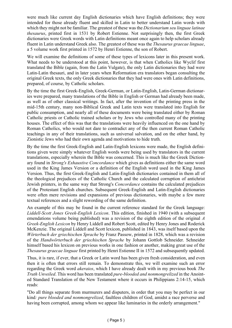were much like current day English dictionaries which have English definitions; they were intended for those already fluent and skilled in Latin to better understand Latin words with which they might not be familiar. The greatest of these was the *Dictionarium seu linguae latinae thesaurus*, printed first in 1531 by Robert Estienne. Not surprisingly then, the first Greek dictionaries were Greek words with Latin definitions meant once again to help scholars already fluent in Latin understand Greek also. The greatest of these was the *Thesaurus graecae linguae*, a 5 volume work first printed in 1572 by Henri Estienne, the son of Robert.

We will examine the definitions of some of these types of lexicons later in this present work. What needs to be understood at this point, however, is that when Catholics like Wyclif first translated the Bible (again, from the Latin Vulgate), the only Latin dictionaries they had were Latin-Latin thesauri, and in later years when Reformation era translators began consulting the original Greek texts, the only Greek dictionaries that they had were ones with Latin definitions, prepared, of course, by Catholic scholars.

By the time the first Greek-English, Greek-German, or Latin-English, Latin-German dictionaries were prepared, many translations of the Bible in English or German had already been made, as well as of other classical writings. In fact, after the invention of the printing press in the mid-15th century, many non-Biblical Greek and Latin texts were translated into English for public consumption, and nearly all of these documents were being translated either by Roman Catholic priests or Catholic trained scholars or by Jews who controlled many of the printing houses. The effect of this was that the translations were heavily influenced on the one hand by Roman Catholics, who would not dare to contradict any of the then current Roman Catholic teachings in any of their translations, such as universal salvation, and on the other hand, by Zionistic Jews who had their own agenda and motivations to hide truth.

By the time the first Greek-English and Latin-English lexicons were made, the English definitions given were simply whatever English words were being used by translators in the current translations, especially wherein the Bible was concerned. This is much like the Greek Dictionary found in *Strong's Exhaustive Concordance* which gives as definitions either the same word used in the King James Version or a definition of the English word used in the King James Version. Thus, the first Greek-English and Latin-English dictionaries contained in them all of the theological prejudices of the Catholic Church and the calculated corruption of antichrist Jewish printers, in the same way that Strong's *Concordance* contains the calculated prejudices of the Protestant English churches. Subsequent Greek-English and Latin-English dictionaries were often mere revisions and expansions of previous dictionaries, with maybe a few more textual references and a slight rewording of the same definition.

An example of this may be found in the current reference standard for the Greek language: *Liddell-Scott Jones Greek-English Lexicon*. This edition, finished in 1940 (with a subsequent emendations volume being published) was a revision of the eighth edition of the original *A Greek-English Lexicon* by Henry Liddell and Robert Scott, edited by Henry Jones and Roderick McKenzie. The original Liddell and Scott lexicon, published in 1843, was itself based upon the *Wörterbuch der griechischen Sprache* by Franz Passow, printed in 1828, which was a revision of the *Handwörterbuch der griechischen Sprache* by Johann Gottlob Schneider. Schneider himself based his lexicon on previous works in one fashion or another, making great use of the *Thesaurus graecae linguae* first printed by Henri Estienne II in 1572 and subsequently updated.

Thus, it is rare, if ever, that a Greek or Latin word has been given fresh consideration, and even then it is often that errors still remain. To demonstrate this, we will examine such an error regarding the Greek word *akeraios*, which I have already dealt with in my previous book *The Truth Unveiled*. This word has been translated *pure-blooded and nonmongrelized* in the Anointed Standard Translation of the New Testament where it occurs in Philippians 2:14-15, which reads:

"Do all things separate from murmurers and disputers, in order that you may be perfect in our kind*: pure blooded and nonmongrelized*, faultless children of God, amidst a race perverse and having been corrupted, among whom we appear like luminaries in the orderly arrangement."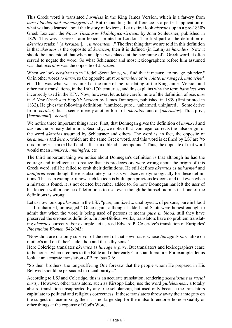This Greek word is translated *harmless* in the King James Version, which is a far-cry from *pure-blooded and nonmongrelized*. But reconciling this difference is a perfect application of what we have learned about the history of lexicons. Let us first look *akeraios* up in a pre-1830's Greek Lexicon, the *Novus Thesaurus Philologico-Criticus* by John Schleusner, published in 1829. This was a Greek-Latin lexicon printed in London. The first part of the definition of *akeraios* reads: " [*A keraizen*], ... *innocentem...*" The first thing that we are told in this definition is that *akeraios* is the opposite of *keraizen*, then it is defined (in Latin) as *harmless.* Now it should be understood that when an alpha was placed at the beginning of a Greek word, it often served to negate the word. So what Schleusner and most lexicographers before him assumed was that *akeraios* was the opposite of *keraizen*.

When we look *keraizen* up in Liddell-Scott Jones, we find that it means: "to ravage, plunder." Or in other words *to harm*, so the opposite must be *harmless* or *inviolate, unravaged, untouched,* etc. This was what was assumed at the time of the translating of the King James Version and other early translations, in the 16th-17th centuries, and this explains why the term *harmless* was incorrectly used in the KJV. Now, however, let us take careful note of the definition of *akeraios* in *A New Greek and English Lexicon* by James Donnegan, published in 1839 (first printed in 1832). He gives the following definition: "unmixed, pure ... unharmed, uninjured ... Some derive from [*keraizo*], but it seems merely another form of [*akeratos*] and of [*akerasios*]. Th. a priv., [*keranummi*], [*kerao*]."

We notice three important things here. First, that Donnegan gives the definition of *unmixed* and *pure* as the primary definition. Secondly, we notice that Donnegan corrects the false origin of the word *akeraios* assumed by Schleusner and others. The word is, in fact, the opposite of *keranummi* and *kerao*, which are the same Greek word, and this word is defined by LSJ as: "to mix, mingle ... mixed half and half ... mix, blend ... compound." Thus, the opposite of that word would mean *unmixed, unmingled,* etc

The third important thing we notice about Donnegan's definition is that although he had the courage and intelligence to realize that his predecessors were wrong about the origin of this Greek word, still he failed to omit their definitions. He still defines *akeraios* as *unharmed* and *uninjured* even though there is absolutely no basis whatsoever etymologically for these definitions. This is an example of how each lexicon is built upon previous lexicons and that even when a mistake is found, it is not deleted but rather added to. So now Donnegan has left the user of his lexicon with a choice of definitions to use, even though he himself admits that one of the definitions is wrong.

Let us now look up *akeraios* in the LSJ: "pure, unmixed ... unalloyed ... of persons, pure in blood ... II. unharmed, unravaged." Once again, although Liddell and Scott were honest enough to admit that when the word is being used of persons it means *pure in blood*, still they have preserved the erroneous definition. In non-Biblical works, translators have no problem translating *akeraios* correctly. For example, let us read Edward P. Coleridge's translation of Euripides' *Phoenician Women,* 942-943:

"Now thou are our only survivor of the seed of that sown race, whose *lineage is pure* alike on mother's and on father's side, thou and these thy sons."

Here Coleridge translates *akeraios* as *lineage is pure*. But translators and lexicographers cease to be honest when it comes to the Bible and other early Christian literature. For example, let us look at an accurate translation of Barnabas 3:6:

"So then, brothers, the long-suffering One foresaw that the people whom He prepared in His Beloved should be persuaded in racial purity..."

According to LSJ and Coleridge, this is an accurate translation, rendering *akeraiosune* as *racial purity*. However, other translators, such as Kirsopp Lake, use the word *guilelessness*, a totally absurd translation unsupported by any true scholarship, but used only because the translators capitulate to political and religious correctness. If these translators throw away their integrity on the subject of race-mixing, then it is no large step for them also to endorse homosexuality or other things at the expense of God's Word.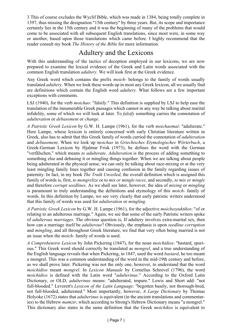3 This of course excludes the Wyclif Bible, which was made in 1384, being totally complete in 1397, thus missing the designation "15th century" by three years. But, its scope and importance certainly lies in the 15th century and it was the beginning of many of the problems that would come to be associated with all subsequent English translations, since most were, in some way or another, based upon those translations which came before. I highly recommend that the reader consult my book *The History of the Bible* for more information.

## Adultery and the Lexicons

With this understanding of the tactics of deception employed in our lexicons, we are now prepared to examine the lexical evidence of the Greek and Latin words associated with the common English translation *adultery.* We will look first at the Greek evidence.

Any Greek word which contains the prefix *moich-* belongs to the family of words usually translated *adultery*. When we look these words up in most any Greek lexicon, all we usually find are definitions which contain the English word *adultery.* What follows are a few important exceptions with comments.

LSJ (1940), for the verb *moichao*: "falsify." This definition is supplied by LSJ to help ease the translation of the innumerable Greek passages which cannot in any way be talking about marital infidelity, some of which we will look at later. To *falsify* something carries the connotation of *adulteration* or *debasement* or *change*.

*A Patristic Greek Lexicon* by G.W. H. Lampe (1961), for the verb *moichaomai*: "adulterate." Here Lampe, whose lexicon is entirely concerned with early Christian literature written in Greek, also has to admit that this Greek family of words carried the connotation of *adulteration* and *debasement*. When we look up *moichao* in *Griechisches Etymologisches Wörterbuch*, a Greek-German Lexicon by Hjalmar Frisk (1973), he defines the word with the German "verfälschen," which means *to adulterate*. *Adulteration* is the process of adding something to something else and debasing it or mingling things together. When we are talking about people being adulterated in the physical sense, we can only be talking about race-mixing or at the very least mingling family lines together and causing confusion in the family regarding issues of paternity. In fact, in my book *The Truth Unveiled*, the overall definition which is assigned this family of words is, first, *to mongrelize* or to *mix or mingle races*, and secondly, *to mix or mingle* and therefore *corrupt seedlines*. As we shall see later, however, the idea of *mixing* or *mingling* is paramount to truly understanding the definitions and etymology of this *moich-* family of words. In this definition by Lampe, we see very clearly that early patristic writers understood that this family of words was used for *adulteration* or *mingling*.

*A Patristic Greek Lexicon* by G.W. H. Lampe (1961), for the adjective *moichozeuktikos*: "of or relating to an adulterous marriage." Again, we see that some of the early Patristic writers spoke of *adulterous marriages*. The obvious question is, If adultery involves extra-marital sex, then how can a marriage itself be *adulterous*? Obviously, the emphasis is upon *seedline corruption* and *mingling*, and all throughout Greek literature, we find that very often being married is not an issue when the *moich-* family of words is used.

*A Comprehensive Lexicon* by John Pickering (1847), for the noun *moichidios*: "bastard, spurious." This Greek word should correctly be translated as *mongrel*, and a true understanding of the English language reveals that when Pickering, in 1847, used the word *bastard*, he too meant a mongrel. This was a common understanding of the word in the mid-19th century and before, as we shall prove later. Pickering was not the only one, however, to understand that the word *moichidios* meant *mongrel*. In *Lexicon Manuale* by Cornelius Schrevel (1796), the word *moichidios* is defined with the Latin word "*adulterinus*." According to the Oxford Latin Dictionary, or OLD, *adulterinus* means: "adulterated, impure." Lewis and Short add: "not full-blooded." Leverett's *Lexicon of the Latin Language*: "begotten basely, not thorough-bred, not full-blooded, adulterated." Most importantly, however, *A Large Dictionary* by Thomas Holyoke (1672) states that *adulterinus* is equivalent (in the ancient translations and commentaries) to the Hebrew *mamzir*, which according to Strong's Hebrew Dictionary means "a mongrel." This dictionary also states in the same definition that the Greek *moichikos* is equivalent to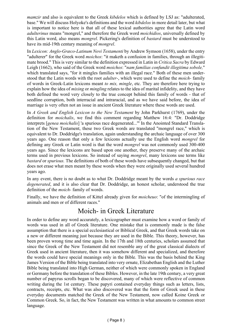*mamzir* and also is equivalent to the Greek *kibdelos* which is defined by LSJ as: "adulterated, base." We will discuss Holyoke's definitions and the word *kibdelos* in more detail later, but what is important to notice here is that all of these lexical authorities agree that the Latin word *adulterinus* means "mongrel," and therefore the Greek word *moichidios*, universally defined by this Latin word, also means *mongrel*. Pickering's definition of *bastard* must be understood to have its mid-19th century meaning of *mongrel*.

In *Lexicon: Anglo-Græco-Latinum Novi Testamenti* by Andrew Symson (1658), under the entry "adulterer" for the Greek word *moichos*: "it maketh a confusion in families, through an illegitimate brood." This is very similar to the definition expressed in Latin in *Critica Sacra* by Edward Leigh (1662), who said of the Greek word *moichos*: "*nam familias confundit illegitima sobole,*" which translated says, "for it mingles families with an illegal race." Both of these men understood that the Latin words with the root *adulter-*, which were used to define the *moich-* family of words in Greek-Latin lexicons meant *to mix, mingle*, etc. They are therefore here trying to explain how the idea of *mixing* or *mingling* relates to the idea of marital infidelity, and they have both defined the word very closely to the true concept behind this family of words - that of seedline corruption, both interracial and intraracial, and as we have said before, the idea of marriage is very often not an issue in ancient Greek literature where these words are used.

In *A Greek and English Lexicon to the New Testament* by John Parkhurst (1769), under the definition for *moichalis*, we find this comment regarding Matthew 16:4: "Dr. Doddridge interprets [*genea moichalis*] 'a spurious race degenerated...'" In the Anointed Standard Translation of the New Testament, these two Greek words are translated "mongrel race," which is equivalent to Dr. Doddridge's translation, again understanding the archaic language of over 300 years ago. One reason that only a few lexicons actually use the English word *mongrel* for defining any Greek or Latin word is that the word *mongrel* was not commonly used 300-400 years ago. Since the lexicons are based upon one another, they preserve many of the archaic terms used in previous lexicons. So instead of saying *mongrel*, many lexicons use terms like *bastard* or *spurious.* The definitions of both of these words have subsequently changed, but that does not erase what men meant by these words when they were originally used several hundred years ago.

In any event, there is no doubt as to what Dr. Doddridge meant by the words *a spurious race degenerated*, and it is also clear that Dr. Doddridge, an honest scholar, understood the true definition of the *moich-* family of words.

Finally, we have the definition of Kittel already given for *moicheuo*: "of the intermingling of animals and men or of different races."

## Moich- in Greek Literature

In order to define any word accurately, a lexicographer must examine how a word or family of words was used in all of Greek literature. One mistake that is commonly made is the false assumption that there is a special ecclesiastical or Biblical Greek, and that Greek words take on a new or different meaning just because they are used in the Bible. This theory, however, has been proven wrong time and time again. In the 17th and 18th centuries, scholars assumed that since the Greek of the New Testament did not resemble any of the great classical dialects of Greek used in ancient literature, then it was somehow different and specialized, and therefore the words could have special meanings only in the Bible. This was the basis behind the King James Version of the Bible being translated into very ornate, Elizabethan English and the Luther Bible being translated into High German, neither of which were commonly spoken in England or Germany before the translation of these Bibles. However, in the late 19th century, a very great number of papyrus scrolls began to be discovered, many of which were reflective of common writing during the 1st century. These papyri contained everyday things such as letters, lists, contracts, receipts, etc. What was also discovered was that the form of Greek used in these everyday documents matched the Greek of the New Testament, now called Koine Greek or Common Greek. So, in fact, the New Testament was written in what amounts to common street language.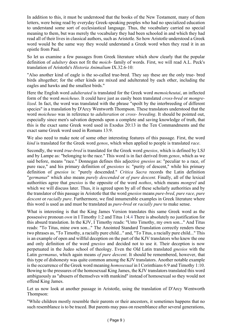In addition to this, it must be understood that the books of the New Testament, many of them letters, were being read by everyday Greek-speaking peoples who had no specialized education to understand some sort of ecclesiastical language. Thus, the vocabulary carried no special meaning to them, but was merely the vocabulary they had been schooled in and which they had read all of their lives in classical authors, such as Aristotle. So how Aristotle understood a Greek word would be the same way they would understand a Greek word when they read it in an epistle from Paul.

So let us examine a few passages from Greek literature which show clearly that the popular definition of *adultery* does not fit the *moich-* family of words. First, we will read A.L. Peck's translation of Aristotle's *Historia Animalium* IX.32.6-10:

"Also another kind of eagle is the so-called true-bred. They say these are the only true- bred birds altogether; for the other kinds are mixed and adulterated by each other, including the eagles and hawks and the smallest birds."

Here the English word *adulterated* is translated for the Greek word *memoicheutai*, an inflected form of the word *moicheuo*. It could have just as easily been translated *cross-bred* or *mongrelized*. In fact, the word was translated with the phrase "spoilt by the interbreeding of different species" in a translation by D'Arcy Wentworth Thompson. These translators understood that the word *moicheuo* was in reference to *adulteration* or *cross- breeding*. It should be pointed out, especially since men's salvation depends upon a complete and saving knowledge of truth, that this is the exact same Greek word used in Exodus 20:13 in the Ten Commandments and the exact same Greek word used in Romans 13:9.

We also need to make note of some other interesting features of this passage. First, the word *kind* is translated for the Greek word *genos*, which when applied to people is translated *race*.

Secondly, the word *true-bred* is translated for the Greek word *gnesios*, which is defined by LSJ and by Lampe as: "belonging to the race." This word is in fact derived from *genos*, which as we said before, means "race." Donnegan defines this adjective *gnesios* as: "peculiar to a race, of pure race," and his primary definition of *gnesiotes* is: "purity of descent," while his primary definition of *gnesios* is: "purely descended." *Critica Sacra* records the Latin definition "*germanus*" which also means *purely descended* or *of pure descent*. Finally, all of the lexical authorities agree that *gnesios* is the opposite of the word *nothos*, which means *mongrel* and which we will discuss later. Thus, it is agreed upon by all of these scholarly authorities and by the translator of this passage in Aristotle that the word *gnesios* means *pure-bred, pure race, pure descent* or *racially pure*. Furthermore, we find innumerable examples in Greek literature where this word is used as and must be translated as *pure-bred* or *racially pure* to make sense.

What is interesting is that the King James Version translates this same Greek word as the possessive pronoun *own* in I Timothy 1:2 and Titus 1:4.4 There is absolutely no justification for this absurd translation. In the KJV, I Timothy reads: "Unto Timothy, my own son..." And Titus reads: "To Titus, mine own son..." The Anointed Standard Translation correctly renders these two phrases as, "To Timothy, a racially pure child..." and, "To Titus, a racially pure child..." This is an example of open and willful deception on the part of the KJV translators who knew the one and only definition of the word *gnesios* and decided not to use it. Their deception is now perpetuated in the Judeo school of theology. Even the Old Latin translated *gnesios* with the Latin *germanus*, which again means *of pure descent*. It should be remembered, however, that this type of dishonesty was quite common among the KJV translators. Another notable example is the occurrence of the Greek word meaning *homosexual* in I Corinthians 6:9 and Timothy 1:10. Bowing to the pressures of the homosexual King James, the KJV translators translated this word ambiguously as "abusers of themselves with mankind" instead of homosexual so they would not offend King James.

Let us now look at another passage in Aristotle, using the translation of D'Arcy Wentworth Thompson:

"While children mostly resemble their parents or their ancestors, it sometimes happens that no such resemblance is to be traced. But parents may pass on resemblance after several generations,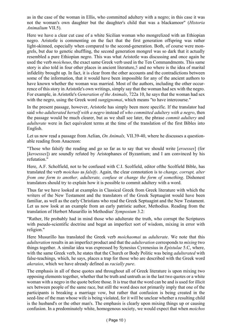as in the case of the woman in Ellis, who committed adultery with a negro; in this case it was not the woman's own daughter but the daughter's child that was a blackamoor" (*Historia Animalium* VII.5).

Here we have a clear cut case of a white Sicilian woman who mongrelized with an Ethiopian negro. Aristotle is commenting on the fact that the first generation offspring was rather light-skinned, especially when compared to the second-generation. Both, of course were mongrels, but due to genetic shuffling, the second generation mongrel was so dark that it actually resembled a pure Ethiopian negro. This was what Aristotle was discussing and once again he used the verb *moicheuo*, the exact same Greek verb used in the Ten Commandments. This same story is also told in four other places in ancient literature,5 and no where is the idea of marital infidelity brought up. In fact, it is clear from the other accounts and the contradictions between some of the information, that it would have been impossible for any of the ancient authors to have known whether the woman was married. Most of the authors, including the other occurrence of this story in Aristotle's own writings, simply say that the woman had sex with the negro. For example, in Aristotle's *Generation of the Animals*, 722a 10, he says that the woman had sex with the negro, using the Greek word *sungignomai*, which means "to have intercourse."

In the present passage, however, Aristotle has simply been more specific. If the translator had said *who adulterated herself with a negro* instead of *who committed adultery with a negro*, then the passage would be much clearer, but as we shall see later, the phrase *commit adultery* and *adulterate* were in fact equivalent terms at the time of the translation of the first Bibles into English.

Let us now read a passage from Aelian, *On Animals,* VII.39-40, where he discusses a questionable reading from Anacreon:

"Those who falsify the reading and go so far as to say that we should write [*eroesses*] (for [*keroesses*]) are soundly refuted by Aristophanes of Byzantium; and I am convinced by his refutation."

Here, A.F. Scholfield, not to be confused with C.I. Scolfield, editor ofthe Scolfield Bible, has translated the verb *moichao* as *falsify*. Again, the clear connotation is to *change, corrupt, alter from one form to another, adulterate, confuse* or *change the form of something*. Dishonest translators should try to explain how it is possible to commit adultery with a word.

Thus far we have looked at examples in Classical Greek from Greek literature with which the writers of the New Testament and the translators of the Greek Septuagint would have been familiar, as well as the early Christians who read the Greek Septuagint and the New Testament. Let us now look at an example from an early patristic author, Methodius. Reading from the translation of Herbert Musurillo in Methodius' *Symposium* 3.2:

"Rather, He probably had in mind those who adulterate the truth, who corrupt the Scriptures with pseudo-scientific doctrine and begat an imperfect sort of wisdom, mixing in error with religion."

Here Musurillo has translated the Greek verb *moichaomai* as *adulterate*. We note that this *adulteration* results in an imperfect product and that the *adulteration* corresponds to *mixing* two things together. A similar idea was expressed by Synesius Cyrenesius in *Epistulae* 5.C, where, with the same Greek verb, he states that the Church or Body Politic was being *adulterated* with false-teachings, which, he says, places a trap for those who are described with the Greek word *akeraios*, which we have already defined as *racially pure*.

The emphasis in all of these quotes and throughout all of Greek literature is upon mixing two opposing elements together, whether that be truth and untruth as in the last two quotes or a white woman with a negro in the quote before those. It is true that the word can be and is used for illicit sex between people of the same race, but still the word does not primarily imply that one of the participants is breaking a marriage vow, but rather that confusion is being created in the seed-line of the man whose wife is being violated, for it will be unclear whether a resulting child is the husband's or the other man's. The emphasis is clearly upon mixing things up or causing confusion. In a predominately white, homogenous society, we would expect that when *moichos*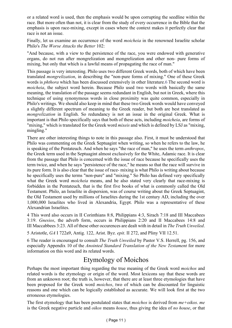or a related word is used, then the emphasis would be upon corrupting the seedline within the race. But more often than not, it is clear from the study of every occurrence in the Bible that the emphasis is upon race-mixing, except in cases where the context makes it perfectly clear that race is not an issue.

Finally, let us examine an occurrence of the word *moicheia* in the renowned Israelite scholar Philo's *The Worse Attacks the Better* 102:

"And because, with a view to the persistence of the race, you were endowed with generative organs, do not run after mongrelization and mongrelization and other non- pure forms of mixing, but only that which is a lawful means of propagating the race of man."

This passage is very interesting. Philo uses two different Greek words, both of which have been translated *mongrelization*, in describing the "non-pure forms of mixing." One of these Greek words is *phthora* which has been discussed extensively in other literature.6 The second word is *moicheia*, the subject word herein. Because Philo used two words with basically the same meaning, the translation of the passage seems redundant in English, but not in Greek, where this technique of using synonymous words in close proximity was quite common, especially in Philo's writings. We should also keep in mind that these two Greek words would have conveyed a slightly different spectrum of meaning to the Greek reader, but both are best translated as *mongrelization* in English. So redundancy is not an issue in the original Greek. What is important is that Philo specifically says that both of these acts, including *moicheia*, are forms of "mixing," which is translated for the Greek word *mixeis* and which is defined by LSJ as "mixing, mingling."

There are other interesting things to note in this passage also. First, it must be understood that Philo was commenting on the Greek Septuagint when writing, so when he refers to the law, he is speaking of the Pentateuch. And when he says "the race of man," he uses the term *anthropos*, the Greek term used in the Septuagint almost exclusively for the White, Adamic race. It is clear from the passage that Philo is concerned with the issue of race because he specifically uses the term twice, and when he says "persistence of the race," he means so that the race will survive in its pure form. It is also clear that the issue of race- mixing is what Philo is writing about because he specifically uses the terms "non-pure" and "mixing." So Philo has defined very specifically what the Greek word *moicheia* means, and he also stated very clearly that race-mixing is forbidden in the Pentateuch, that is the first five books of what is commonly called the Old Testament. Philo, an Israelite in dispersion, was of course writing about the Greek Septuagint, the Old Testament used by millions of Israelites during the 1st century AD, including the over 1,000,000 Israelites who lived in Alexandria, Egypt. Philo was a representative of these Alexandrian Israelites.

4 This word also occurs in II Corinthians 8:8, Philippians 4:3, Sirach 7:18 and III Maccabees 3:19. *Gnesios*, the adverb form, occurs in Philippians 2:20 and II Maccabees 14:8 and III Maccabbees 3:23. All of these other occurences are dealt with in detail in *The Truth Unveiled*.

5 Aristotle, *GA* I 722a9, Antig. 122, Arist. Byz. *epit*. II 272, and Pliny VII 12.51.

6 The reader is encouraged to consult *The Truth Unveiled* by Pastor V.S. Herrell, pg. 156, and especially Appendix 10 of the *Anointed Standard Translation of the New Testament* for more information on this word and its related words.

## Etymology of Moichos

Perhaps the most important thing regarding the true meaning of the Greek word *moichos* and related words is the etymology or origin of the word. Most lexicons say that these words are from an unknown root; the truth is, however, that there are at least three etymologies that have been proposed for the Greek word *moichos*, two of which can be discounted for linguistic reasons and one which can be logically established as accurate. We will look first at the two erroneous etymologies.

The first etymology that has been postulated states that *moichos* is derived from *me+oikos*. *me* is the Greek negative particle and *oikos* means *house*, thus giving the idea of *no house*, or that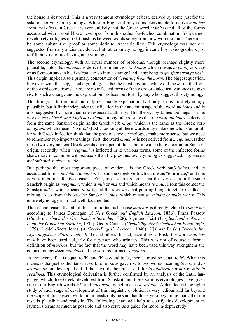the house is destroyed. This is a very tenuous etymology at best, derived by some just for the sake of deriving an etymology. While in English it may sound reasonable to derive *moichos* from *me+oikos*, in Greek it is very unlikely that the Greek word *moichos* and all of the forms associated with it could have developed from this rather far-fetched combination. You cannot develop etymologies or relationships between words solely from how words sound. There must be some substantive proof or some definite, traceable link. This etymology was not one suggested from any ancient evidence, but rather an etymology invented by lexicographers just to fill the void of not having an etymology.

The second etymology, with an equal number of problems, though perhaps slightly more plausible, holds that *moichos* is derived from the verb *oichomai* which means *to go off* or *away* or as Symson says in his *Lexicon*, "to go into a strange land," implying *to go after strange flesh*. This origin implies also a primary connotation of *deviating from the norm*. The biggest question, however, with this suggested etymology is also the most obvious: where did the *m-* on the front of the word come from? There are no inflected forms of the word or dialectical variances to give rise to such a change and no explanation has been put forth by any who suggest this etymology.

This brings us to the third and only reasonable explanation. Not only is this third etymology plausible, but it finds independent verification in the ancient usage of the word *moichos* and is also suggested by more than one respected authority. This theory, by James Donnegan in his work *A New Greek and English Lexicon*, among others, states that the word *moichos* is derived from the same Sanskrit origin as the Greek verb *migo*, which is the same as the Greek verb *meignumi* which means "to mix" (LSJ). Looking at these words may make one who is unfamiliar with Greek inflection think that the previous two etymologies make more sense, but we need to remember two important things: first, the word *moichos* is not derived from *meignumi*, rather these two very ancient Greek words developed at the same time and share a common Sanskrit origin; secondly, when *meignumi* is inflected in its various forms, some of the inflected forms share more in common with *moichos* than the previous two etymologies suggested: *e.g. meixo*, *meichthenai*, *meixomai*, etc.

But perhaps the most important piece of evidence is the Greek verb *om[e]icheo* and its associated forms: *meicho* and *micho*. This is the Greek verb which means "to urinate," and this is very important for two reasons. First, most scholars agree that this verb is from the same Sanskrit origin as *meignumi*, which is *mih* or *miz* and which means *to pour*. From this comes the Sanskrit *miks*, which means *to mix*, and the idea was that pouring things together resulted in mixing. Also from this was the Sanskrit *mehas*, which meant *to urinate* or *make water*. This entire etymology is in fact well documented.

The second reason that all of this is important is because *moichos* is directly related to *omeicho*, according to James Donnegan (*A New Greek and English Lexicon*, 1856), Franz Passow (*Handwörterbuch der Griechischen Sprache*, 1828), Sigmund Feist (*Vergleichendes Wörterbuch der Gotischen Sprache*, 1939), Georg Curtius (*Grundzüge der Griechischen Etymologie*, 1879), Liddell-Scott Jones (*A Greek-English Lexicon*, 1940), Hjalmar Frisk (*Griechisches Etymologisches Wörterbuch*, 1973), and others. In fact, according to Frisk, the word *moichos* may have been used vulgarly for a person who urinates. This was not of course a formal definition of *moichos*, but the fact that the word may have been used this way strengthens the connection between *moichos* and the various forms of *omeicho*.

In any event, if 'a' is equal to 'b', and 'b' is equal to 'c', then 'a' must be equal to 'c'. What this means is that just as the Sanskrit verb for *to pour* gave rise to two words meaning *to mix* and *to urinate*, so too developed out of those words the Greek verb for *to adulterate* or *mix* or *mingle seedlines.* This etymological derivation is further confirmed by an analysis of the Latin language, which, like Greek, developed from Sanskrit, and these various etymologies have given rise to our English words *mix* and *micturate*, which means *to urinate*. A detailed orthographic study of each stage of development of this linguistic evolution is very tedious and far beyond the scope of this present work, but it needs only be said that this etymology, more than all of the rest, is plausible and realistic. The following chart will help to clarify this development in laymen's terms as much as possible and also serve as a guide for more in-depth study.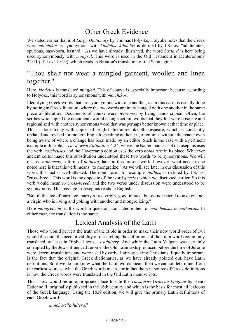## Other Greek Evidence

We stated earlier that in *A Large Dictionary* by Thomas Holyoke, Holyoke notes that the Greek word *moichikos* is synonymous with *kibdelos*. *kibdelos* is defined by LSJ as: "adulterated, spurious, base-born, bastard." As we have already illustrated, the word *bastard* is here being used synonymously with *mongrel*. This word is used in the Old Testament in Deuteronomy 22:11 (cf. Lev. 19:19), which reads in Brenton's translation of the Septuagint:

## "Thou shalt not wear a mingled garment, woollen and linen together."

Here, *kibdelos* is translated *mingled*. This of course is especially important because according to Holyoke, this word is synonymous with *moichikos*.

Identifying Greek words that are synonymous with one another, as in this case, is usually done by noting in Greek literature where the two words are interchanged with one another in the same piece of literature. Documents of course were preserved by being hand- copied. Often, the scribes who copied the documents would change certain words that they felt were obsolete and regionalized with another synonymous word that was perhaps better known at that time or place. This is done today with copies of English literature like Shakespeare, which is constantly updated and revised for modern English-speaking audiences, oftentimes without the reader even being aware of where a change has been made by an editor. Such is the case with a pertinent example in Josephus, *The Jewish Antiquities* 4:24, where the Naber manuscript of Josephus uses the verb *moicheusas* and the Havercamp edition uses the verb *notheusas* in its place. Whatever ancient editor made this substitution understood these two words to be synonymous. We will discuss *notheusas*, a form of *notheuo*, later in this present work; however, what needs to be noted here is that this verb means "to mongrelize." As we will see later in our discussion of this word, this fact is well-attested. The noun form, for example, *nothos*, is defined by LSJ as: "cross-bred." This word is the opposite of the word *gnesios* which we discussed earlier. So this verb would mean *to cross-breed*, and the two verbs under discussion were understood to be synonymous. This passage in Josephus reads in English:

"But in the age of marriage, marry a free virgin, good in race, but do not intend to take one not a virgin who is living and yoking with another and mongrelizing."

Here *mongrelizing* is the word in question, translated either for *moicheusas* or *notheusas*. In either case, the translation is the same.

## Lexical Analysis of the Latin

Those who would pervert the truth of the Bible in order to make their new world order of evil would discount the need or validity of researching the definitions of the Latin words commonly translated, at least in Biblical texts, as *adultery*. And while the Latin Vulgate was certainly corrupted by the Jew-influenced Jerome, the Old Latin texts produced before the time of Jerome were decent translations and were used by early, Latin-speaking Christians. Equally important is the fact that the original Greek dictionaries, as we have already pointed out, have Latin definitions. So if we do not know what the Latin words mean, then we cannot determine, from the earliest sources, what the Greek words mean, for in fact the best source of Greek definitions is how the Greek words were translated in the Old Latin manuscripts.

Thus, now would be an appropriate place to cite the *Thesaurus Graecae Linguae* by Henri Estienne II, originally published in the 16th century and which is the basis for most all lexicons of the Greek language. Using the 1829 edition, we will give the primary Latin definitions of each Greek word:

*moichas*: "*adultera*."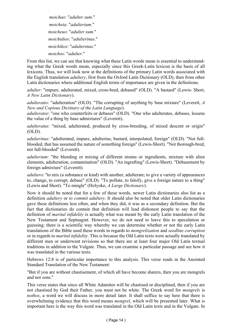*moichao*: "*adulter sum*." *moicheia*: "*adulterium*." *moicheuo*: "*adulter sum.*" *moichidios*: "*adulterinus*." *moichikos*: "*adulterinus.*" *moichos*: "*adulter*."

From this list, we can see that knowing what these Latin words mean is essential to understanding what the Greek words mean, especially since this Greek-Latin lexicon is the basis of all lexicons. Thus, we will look now at the definitions of the primary Latin words associated with the English translation *adultery*, first from the Oxford Latin Dictionary (OLD), then from other Latin dictionaries where additional English terms of importance are given in the definitions.

*adulter*: "impure, adulterated, mixed, cross-bred, debased" (OLD). "A bastard" (Lewis- Short, *A New Latin Dictionary*).

*adulteratio*: "adulteration" (OLD). "The corrupting of anything by base mixture" (Leverett, *A New and Copious Dictinary of the Latin Language*).

*adulterator*: "one who counterfeits or debases" (OLD). "One who adulterates, debases, lessens the value of a thing by base admixtures" (Leverett).

*adulteratus*: "mixed, adulterated, produced by cross-breeding, of mixed descent or origin"  $(OLD)$ .

*adulterinus*: "adulterated, impure, adulterine, bastard, interpolated, foreign" (OLD). "Not fullblooded, that has assumed the nature of something foreign" (Lewis-Short). "Not thorough-bred, not full-blooded" (Leverett).

*adulterium*: "the blending or mixing of different strains or ingredients, mixture with alien elements, adulteration, contamination" (OLD). "An ingrafting" (Lewis-Short). "Debasement by foreign admixture" (Leverett).

*adultero*: "to mix (a substance or kind) with another, adulterate; to give a variety of appearances to, change, to corrupt, debase" (OLD). "To pollute, to falsify, give a foreign nature to a thing" (Lewis and Short). "To mingle" (Holyoke, *A Large Dictionary*).

Now it should be noted that for a few of these words, newer Latin dictionaries also list as a definition *adultery* or *to commit adultery*. It should also be noted that older Latin dictionaries gave these definitions less often, and when they did, it was as a secondary definition. But the fact that dictionaries do contain that definition will lead dishonest people to say that the definition of *marital infidelity* is actually what was meant by the early Latin translation of the New Testament and Septuagint. However, we do not need to leave this to speculation or guessing; there is a scientific way whereby we can determine whether or not the early Latin translations of the Bible used these words in regards to *mongrelization* and *seedline corruption* or in regards to *marital infidelity*. This is because the Old Latin texts were actually translated by different men or underwent revisions so that there are at least four major Old Latin textual traditions in addition to the Vulgate. Thus, we can examine a particular passage and see how it was translated in the various texts.

Hebrews 12:8 is of particular importance to this analysis. This verse reads in the Anointed Standard Translation of the New Testament:

"But if you are without chastisement, of which all have become sharers, then you are mongrels and not sons."

This verse states that since all White Adamites will be chastised or disciplined, then if you are not chastised by God their Father, you must not be white. The Greek word for *mongrels* is *nothos*, a word we will discuss in more detail later. It shall suffice to say here that there is overwhelming evidence that this word means *mongrel*, which will be presented later. What is important here is the way this word was translated in the Old Latin texts and in the Vulgate. In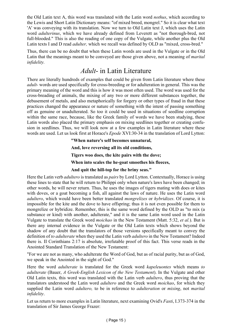the Old Latin text A, this word was translated with the Latin word *nothus*, which according to the Lewis and Short Latin Dictionary means: "of mixed breed, mongrel." So it is clear what text 'A' was conveying with its translation. Now we turn to Old Latin text J, which uses the Latin word *adulterinus*, which we have already defined from Leverett as "not thorough-bred, not full-blooded." This is also the reading of one copy of the Vulgate, while another plus the Old Latin texts I and D read *adulter,* which we recall was defined by OLD as "mixed, cross-bred."

Thus, there can be no doubt that when these Latin words are used in the Vulgate or in the Old Latin that the meanings meant to be conveyed are those given above, not a meaning of *marital infidelity.*

## *Adult*- in Latin Literature

There are literally hundreds of examples that could be given from Latin literature where these *adult-* words are used specifically for cross-breeding or for adulteration in general. This was the primary meaning of the word and this is how it was most often used. The word was used for the cross-breading of animals, the mixing of any two or more different substances together, the debasement of metals, and also metaphorically for forgery or other types of fraud in that these practices changed the appearance or nature of something with the intent of passing something off as genuine or unadulterated. So too it could be used in situations of seedline corruption within the same race, because, like the Greek family of words we have been studying, these Latin words also placed the primary emphasis on mixing seedlines together or creating confusion in seedlines. Thus, we will look now at a few examples in Latin literature where these words are used. Let us look first at Horace's *Epode* XVI:30-34 in the translation of Lord Lytton:

**"When nature's self becomes unnatural,**

**And, love reversing all its old conditions,**

**Tigers woo does, the kite pairs with the dove;**

**When into scales the he-goat smoothes his fleeces,**

#### **And quit the hill-top for the briny seas."**

Here the Latin verb *adultero* is translated as *pairs* by Lord Lytton. Contextually, Horace is using these lines to state that he will return to Philippi only when nature's laws have been changed; in other words, he will never return. Thus, he uses the images of tigers mating with does or kites with doves, or a goat becoming a fish, all against the laws of nature. He uses the Latin word *adultero*, which would have been better translated *mongrelizes* or *hybridizes*. Of course, it is impossible for the kite and the dove to have offspring; thus it is not even possible for them to mongrelize or hybridize. Remember, this is the same word defined by the OLD as "to mix (a substance or kind) with another, adulterate," and it is the same Latin word used in the Latin Vulgate to translate the Greek word *moichao* in the New Testament (Matt. 5:32, *et al.*). But is there any internal evidence in the Vulgate or the Old Latin texts which shows beyond the shadow of any doubt that the translators of those versions specifically meant to convey the definition of *to adulterate* when they used the Latin verb *adultero* in the New Testament? Indeed there is. II Corinthians 2:17 is absolute, irrefutable proof of this fact. This verse reads in the Anointed Standard Translation of the New Testament:

"For we are not as many, who adulterate the Word of God, but as of racial purity, but as of God, we speak in the Anointed in the sight of God."

Here the word *adulterate* is translated for the Greek word *kapeleuontes* which means *to adulterate* (Bauer, *A Greek-English Lexicon of the New Testament*). In the Vulgate and other Old Latin texts, this word was translated with the Latin verb *adultero*, thus proving that the translators understood the Latin word *adultero* and the Greek word *moichao*, for which they supplied the Latin word *adultero,* to be in reference to *adulteration* or *mixing*, not *marital infidelity*.

Let us return to more examples in Latin literature, next examining Ovid's *Fasti*, I.373-374 in the translation of Sir James George Frazer: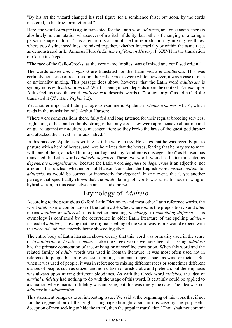"By his art the wizard changed his real figure for a semblance false; but soon, by the cords mastered, to his true form returned."

Here, the word *changed* is again translated for the Latin word *adultero*, and once again, there is absolutely no connotation whatsoever of marital infidelity, but rather of changing or altering a person's shape or form. This alteration is accomplished in reproduction by mixing seedlines, where two distinct seedlines are mixed together, whether interracially or within the same race, as demonstrated in L. Annaeus Florus's *Epitome of Roman History*, I, XXVII in the translation of Cornelius Nepos:

"The race of the Gallo-Greeks, as the very name implies, was of mixed and confused origin."

The words *mixed and confused* are translated for the Latin *mixta et adulterata*. This was certainly not a case of race-mixing, the Gallo-Greeks were white; however, it was a case of clan or nationality mixing. This passage does show, however, that the Latin word *adulterata* is synonymous with *mixta* or *mixed*. What is being mixed depends upon the context. For example, Aulus Gellius used the word *adulterinus* to describe words of "foreign origin" as John C. Rolfe translated it (*The Attic Nights* 8:2).

Yet another important Latin passage to examine is Apuleius's *Metamorphoses* VII:16, which reads in the translation of J. Arthur Hanson:

"There were some stallions there, fully fed and long fattened for their regular breeding services, frightening at best and certainly stronger than any ass. They were apprehensive about me and on guard against any adulterous miscegenation; so they broke the laws of the guest-god Jupiter and attacked their rival in furious hatred."

In this passage, Apuleius is writing as if he were an ass. He states that he was recently put to pasture with a herd of horses, and here he relates that the horses, fearing that he may try to mate with one of them, attacked him to guard against any "adulterous miscegenation" as Hanson has translated the Latin words *adulterio degeneri*. These two words would be better translated as *degenerate mongrelization*, because the Latin word *degeneri* or *degenerate* is an adjective, not a noun. It is unclear whether or not Hanson translated the English word *miscegenation* for *adulterio*, as would be correct, or incorrectly for *degeneri*. In any event, this is yet another passage that specifically shows that the *adult-* family of words was used for race-mixing or hybridization, in this case between an ass and a horse.

## Etymology of *Adultero*

According to the prestigious Oxford Latin Dictionary and most other Latin reference works, the word *adultero* is a combination of the Latin *ad* + *alter*, where *ad* is the preposition *to* and *alter* means *another* or *different,* thus together meaning *to change* to *something different*. This etymology is confirmed by the occurrence in older Latin literature of the spelling *adalter*instead of *adulter-*, showing that the original spelling of the word was as one would expect, with the word *ad* and *alter* merely being shoved together.

The entire body of Latin literature shows clearly that this word was primarily used in the sense of *to adulterate* or *to mix* or *debase*. Like the Greek words we have been discussing, *adultero* had the primary connotation of race-mixing or of seedline corruption. When this word and the related family of *adult-* words was used in Roman literature, it was most often used not in reference to people but in reference to mixing inanimate objects, such as wine or metals. But when it was used of people, it was in reference to mixing different races or sometimes different classes of people, such as citizen and non-citizen or aristocratic and plebeian, but the emphasis was always upon mixing different bloodlines. As with the Greek word *moichos*, the idea of *marital infidelity* had nothing to do with the usage of this word. It certainly could be applied to a situation where marital infidelity was an issue, but this was rarely the case. The idea was not *adultery* but *adulteration*.

This statement brings us to an interesting issue. We said at the beginning of this work that if not for the degeneration of the English language (brought about in this case by the purposeful deception of men seeking to hide the truth), then the popular translation "Thou shalt not commit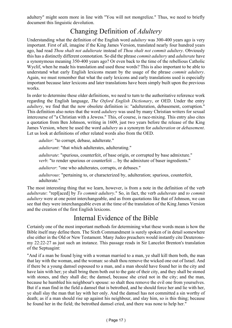adultery" might seem more in line with "You will not mongrelize." Thus, we need to briefly document this linguistic devolution.

## Changing Definition of *Adultery*

Understanding what the definition of the English word *adultery* was 300-400 years ago is very important. First of all, imagine if the King James Version, translated nearly four hundred years ago, had read *Thou shalt not adulterate* instead of *Thou shalt not commit adultery*. Obviously this has a distinctly different connotation. So did the phrase *commit adultery* and *adulterate* have a synonymous meaning 350-400 years ago? Or even back to the time of the rebellious Catholic Wyclif, when he made his translation and used those words? This is also important to be able to understand what early English lexicons meant by the usage of the phrase *commit adultery*. Again, we must remember that what the early lexicons and early translations used is especially important because later lexicons and later translations have been simply built upon the previous works.

In order to determine these older definitions, we need to turn to the authoritative reference work regarding the English language, *The Oxford English Dictionary*, or OED. Under the entry *adultery*, we find that the now obsolete definition is: "adulteration, debasement, corruption." This definition also notes that the word *adultery* was used by many Christian writers for sexual intercourse of "a Christian with a Jewess." This, of course, is race-mixing. This entry also cites a quotation from Ben Johnson, writing in 1609, just two years before the release of the King James Version, where he used the word *adultery* as a synonym for *adulteration* or *debasement*. Let us look at definitions of other related words also from the OED.

*adulter*: "to corrupt, debase, adulterate."

*adulterant*: "that which adulterates, adulterating."

*adulterate*: "spurious, counterfeit, of base origin, or corrupted by base admixture." *verb*: "to render spurious or counterfeit ... by the admixture of baser ingredients."

*adulterer*: "one who adulterates, corrupts, or debases."

*adulterous*: "pertaining to, or characterized by, adulteration; spurious, counterfeit, adulterate."

The most interesting thing that we learn, however, is from a note in the definition of the verb *adulterate*: "repl[aced] by *To commit adultery*." So, in fact, the verb *adulterate* and *to commit adultery* were at one point interchangeable, and as from quotations like that of Johnson, we can see that they were interchangeable even at the time of the translation of the King James Version and the creation of the first English lexicons.

## Internal Evidence of the Bible

Certainly one of the most important methods for determining what these words mean is how the Bible itself may define them. The Sixth Commandment is surely spoken of in detail somewhere else either in the Old or New Testament. Many Judeo preachers would instantly cite Deuteronomy 22:22-27 as just such an instance. This passage reads in Sir Lancelot Brenton's translation of the Septuagint:

"And if a man be found lying with a woman married to a man, ye shall kill them both, the man that lay with the woman, and the woman: so shalt thou remove the wicked one out of Israel. And if there be a young damsel espoused to a man, and a man should have found her in the city and have lain with her; ye shall bring them both out to the gate of their city, and they shall be stoned with stones, and they shall die; the damsel, because she cried not in the city; and the man, because he humbled his neighbour's spouse: so shalt thou remove the evil one from yourselves. But if a man find in the field a damsel that is betrothed, and he should force her and lie with her, ye shall slay the man that lay with her only. And the damsel has not committed a sin worthy of death; as if a man should rise up against his neighbour, and slay him, so is this thing; because he found her in the field; the betrothed damsel cried, and there was none to help her."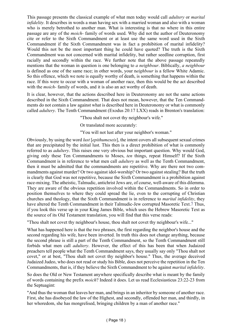This passage presents the classical example of what men today would call *adultery* or *marital infidelity*. It describes in words a man having sex with a married woman and also with a woman who is merely betrothed to another man. What is interesting is that no where in this entire passage are any of the *moich-* family of words used. Why did not the author of Deuteronomy cite or refer to the Sixth Commandment or at least use the same word used in the Sixth Commandment if the Sixth Commandment was in fact a prohibition of marital infidelity? Would this not be the most important thing he could have quoted? The truth is the Sixth Commandment was not concerned with marital infidelity, but rather seedline corruption, first racially and secondly within the race. We further note that the above passage repeatedly mentions that the woman in question is one belonging to *a neighbour*. Biblically, *a neighbour* is defined as one of the same race; in other words, your n*eighbour* is a fellow White Adamic. So this offence, which we note is equally worthy of death, is something that happens within the race. If this were to occur with a woman of another race, then this would be the act described with the *moich-* family of words, and it is also an act worthy of death.

It is clear, however, that the actions described here in Deuteronomy are not the same actions described in the Sixth Commandment. That does not mean, however, that the Ten Commandments do not contain a law against what is described here in Deuteronomy or what is commonly called *adultery*. The Tenth Commandment (Exodus 20:17 LXX) reads in Brenton's translation:

"Thou shalt not covet thy neighbour's wife."

Or translated more accurately:

"You will not lust after your neighbor's woman."

Obviously, by using the word *lust* [*epithumeseis*], the intent covers all subsequent sexual crimes that are precipitated by the initial lust. This then is a direct prohibition of what is commonly referred to as *adultery*. This raises one very obvious but important question. Why would God, giving only these Ten Commandments to Moses, *ten* things, repeat Himself? If the Sixth Commandment is in reference to what men call *adultery* as well as the Tenth Commandment, then it must be admitted that the commandments are repetitive. Why are there not two commandments against murder? Or two against idol-worship? Or two against stealing? But the truth is clearly that God was not repetitive, because the Sixth Commandment is a prohibition against race-mixing. The atheistic, Talmudic, antichrist Jews are, of course, well-aware of this dilemma. They are aware of the obvious repetition involved within the Commandments. So in order to position themselves to where they could spread the lie, even to the corrupting of Christian churches and theology, that the Sixth Commandment is in reference to *marital infidelity*, they have altered the Tenth Commandment in their Talmudic-Jew corrupted Masoretic Text.7 Thus, if you look this verse up in your King James Bible, which uses the Hebrew Masoretic Text as the source of its Old Testament translation, you will find that this verse reads:

"Thou shalt not covet thy neighbour's house, thou shalt not covet thy neighbour's wife..."

What has happened here is that the two phrases, the first regarding the neighbor's house and the second regarding his wife, have been inverted. In truth this does not change anything, because the second phrase is still a part of the Tenth Commandment, so the Tenth Commandment still forbids what men call *adultery*. However, the effect of this has been that when Judaized preachers tell people what the Tenth Commandment says, they usually say only "Thou shalt not covet," or at best, "Thou shalt not covet thy neighbor's house." Thus, the average deceived Judaized Judeo, who does not read or study his Bible, does not perceive the repetition in the Ten Commandments, that is, if they believe the Sixth Commandment to be against *marital infidelity*.

So does the Old or New Testament anywhere specifically describe what is meant by the family of words containing the prefix *moich*? Indeed it does. Let us read Ecclesiasticus 23:22-23 from the Septuagint:

"And thus the woman that leaves her man, and brings in an inheritor by someone of another race. First, she has disobeyed the law of the Highest, and secondly, offended her man, and thirdly, in her whoredom, she has mongrelised, bringing children by a man of another race."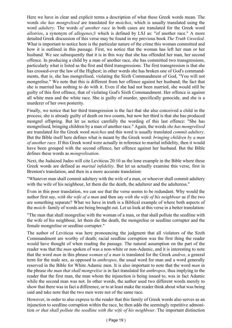Here we have in clear and explicit terms a description of what these Greek words mean. The words *she has mongrelised* are translated for *moichos*, which is usually translated using the word *adultery*. The words *of another race* in both cases are translated for the Greek word *allotrios*, a synonym of *allogenes*,8 which is defined by LSJ as: "of another race." A more detailed Greek discussion of this verse may be found in my previous book *The Truth Unveiled*. What is important to notice here is the particular nature of the crime this woman committed and how it is outlined in this passage. First, we notice that the woman has left her man or her husband. We see subsequently that it is in this way that she has offended her man, her second offence. In producing a child by a man of another race, she has committed two transgressions, particularly what is listed as the first and third transgressions. The first transgression is that she has crossed-over the law of the Highest; in other words she has broken one of God's commandments, that is, she has mongrelised, violating the Sixth Commandment of God, "You will not mongrelise." We note that this is different from her offence against her husband; the fact that she is married has nothing to do with it. Even if she had not been married, she would still be guilty of this first offence, that of violating God's Sixth Commandment. Her offence is against all white men and the white race. She is guilty of murder, specifically genocide, and she is a murderer of her own posterity.

Finally, we notice that her third transgression is the fact that she also conceived a child in the process; she is already guilty of death on two counts, but now her third is that she has produced mongrel offspring. But let us notice carefully the wording of this last offence: "She has mongrelised, bringing children by a man of another race." Again, the words *she has mongrelised* are translated for the Greek word *moichos* and this word is usually translated *commit adultery*. But the Bible itself here defines what is meant by the Greek word: *bringing children by a man of another race.* If this Greek word were actually in reference to marital infidelity, then it would have been grouped with the second offence, her offence against her husband. But the Bible defines these words as *mongrelisation*.

Next, the Judaized Judeo will cite Leviticus 20:10 as the lone example in the Bible where these Greek words are defined as *marital infidelity*. But let us actually examine this verse, first in Brenton's translation, and then in a more accurate translation:

"Whatever man shall commit adultery with the wife of a man, or whoever shall commit adultery with the wife of his neighbour, let them die the death, the adulterer and the adulteress."

Even in this poor translation, we can see that the verse seems to be redundant. Why would the author first say, *with the wife of a man* and then say *with the wife of his neighbour* as if the two are something separate? What we have in truth is a Biblical example of where both aspects of the *moich-* family of words are being brought out. Let us look at this verse in a better translation:

"The man that shall mongrelise with the woman of a man, or that shall pollute the seedline with the wife of his neighbour, let them die the death, the mongrelise or seedline corrupter and the female mongrelise or seedline corrupter."

The author of Leviticus was here pronouncing the judgment that all violators of the Sixth Commandment are worthy of death; racial seedline corruption was the first thing the reader would have thought of when reading the passage. The natural assumption on the part of the reader was that the *man* spoken of was a non-white or non-Adamic, and it is interesting to note that the word *man* in this phrase *woman of a man* is translated for the Greek *andros*, a general term for the male sex, as opposed to *anthropos*, the usual word for man and a word generally reserved in the Bible for White Adamic men. It is also important to note that the word *man* in the phrase *the man that shall mongrelise* is in fact translated for *anthropos*, thus implying to the reader that the first man, the man whom the injunction is being issued to, was in fact Adamic while the second man was not. In other words, the author used two different words merely to show that there was in fact a difference, or to at least make the reader think about what was being said and take note that the two men were not of the same race.

However, in order to also express to the reader that this family of Greek words also serves as an injunction to seedline corruption within the race, he then adds the seemingly repetitive admonition *or that shall pollute the seedline with the wife of his neighbour*. The important distinction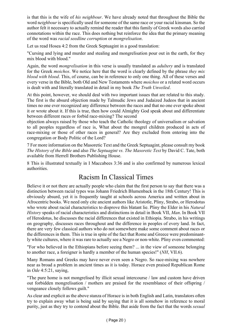is that this is the wife of *his neighbour*. We have already noted that throughout the Bible the word n*eighbour* is specifically used for someone of the same race or your racial kinsman. So the author felt it necessary to actually remind the reader that this family of Greek words also carried connotations within the race. This does nothing but reinforce the idea that the primary meaning of the word was *racial seedline corruption* or *mongrelisation*.

Let us read Hosea 4:2 from the Greek Septuagint in a good translation:

"Cursing and lying and murder and stealing and mongrelisation pour out in the earth, for they mix blood with blood."

Again, the word *mongrelisation* in this verse is usually translated as *adultery* and is translated for the Greek *moichos*. We notice here that the word is clearly defined by the phrase *they mix blood with blood*. This, of course, can be in reference to only one thing. All of these verses and every verse in the Bible, both Old and New Testaments where *moichos* or a related word occurs is dealt with and literally translated in detail in my book *The Truth Unveiled*.

At this point, however, we should deal with two important issues that are related to this study. The first is the absurd objection made by Talmudic Jews and Judaized Judeos that in ancient times no one ever recognized any difference between the races and that no one ever spoke about it or wrote about it. If this is true, then how could Almighty God speak about and differentiate between different races or forbid race-mixing? The second

objection always raised by those who teach the Catholic theology of universalism or salvation to all peoples regardless of race is, What about the mongrel children produced in acts of race-mixing or those of other races in general? Are they excluded from entering into the congregation or Body Politic of the Lord?

7 For more information on the Masoretic Text and the Greek Septuagint, please consult my book *The History of the Bible* and also *The Septuagint vs. The Masoretic Text* by David C. Tate, both available from Herrell Brothers Publishing House.

8 This is illustrated textually in I Maccabees 3:36 and is also confirmed by numerous lexical authorities.

## Racism In Classical Times

Believe it or not there are actually people who claim that the first person to say that there was a distinction between racial types was Johann Friedrich Blumenback in the 18th Century! This is obviously absurd, yet it is frequently taught at schools across America and written about in Afrocentric books. We need only cite ancient authors like Aristotle, Pliny, Strabo, or Herodotus who wrote about racial characteristics to disprove this blatant lie. Pliny the Elder in his *Natural History* speaks of racial characteristics and distinctions in detail in Book VII, *Man*. In Book VII of Herodotus, he discusses the racial differences that existed in Ethiopia. Strabo, in his writings on geography, discusses races throughout and the difference in peoples of every land. In fact, there are very few classical authors who do not somewhere make some comment about races or the differences in them. This is true in spite of the fact that Rome and Greece were predominantly white cultures, where it was rare to actually see a Negro or non-white. Pliny even commented:

"For who believed in the Ethiopians before seeing them? ... in the view of someone belonging to another race, a foreigner is hardly a member of the human species!" (*NH*, VII.6).

Many Romans and Greeks may have never even seen a Negro. So race-mixing was nowhere near as broad a problem in ancient times as it is today. Horace even praised Republican Rome in *Ode* 4:5:21, saying,

"The pure home is not mongrelised by illicit sexual intercourse / law and custom have driven out forbidden mongrelisation / mothers are praised for the resemblance of their offspring / vengeance closely follows guilt."

As clear and explicit as the above stanza of Horace is in both English and Latin, translators often try to explain away what is being said by saying that it is all somehow in reference to moral purity, just as they try to contend about the Bible. But aside from the fact that the words *sexual*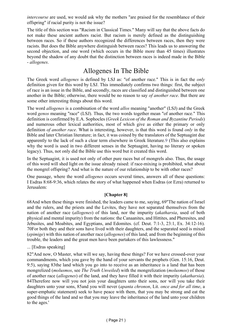*intercourse* are used, we would ask why the mothers "are praised for the resemblance of their offspring" if racial purity is not the issue?

The title of this section was "Racism in Classical Times." Many will say that the above facts do not make these ancient authors racist. But racism is merely defined as the distinguishing between races. So if these authors recognized the differences between races, then they were racists. But does the Bible anywhere distinguish between races? This leads us to answering the second objection, and one word (which occurs in the Bible more than 45 times) illustrates beyond the shadow of any doubt that the distinction between races is indeed made in the Bible - *allogenes*.

## Allogenes In The Bible

The Greek word *allogenes* is defined by LSJ as: "of another race." This is in fact the *only* definition given for this word by LSJ. This immediately confirms two things: first, the subject of race is an issue in the Bible, and secondly, races are classified and distinguished between one another in the Bible; otherwise, there would be no reason to say *of another race*. But there are some other interesting things about this word.

The word *allogenes* is a combination of the word *allos* meaning "another" (LSJ) and the Greek word *genos* meaning "race" (LSJ). Thus, the two words together mean "of another race." This definition is confirmed by E.A. Sophocles (*Greek Lexicon of the Roman and Byzantine Periods*) and numerous other lexical authorities, most of which give as either the primary or only definition *of another race*. What is interesting, however, is that this word is found *only* in the Bible and later Christian literature; in fact, it was coined by the translators of the Septuagint due apparently to the lack of such a clear term elsewhere in Greek literature.9 (This also explains why the word is used in two different senses in the Septuagint, having no literary or spoken legacy). Thus, not only did the Bible use this word but it created this word.

In the Septuagint, it is used not only of other pure races but of mongrels also. Thus, the usage of this word will shed light on the issue already raised: if race-mixing is prohibited, what about the mongrel offspring? And what is the nature of our relationship to be with other races?

One passage, where the word *allogenes* occurs several times, answers all of these questions: I Esdras 8:68-9:36, which relates the story of what happened when Esdras (or Ezra) returned to Jerusalem:

#### **[Chapter 8]**

68And when these things were finished, the leaders came to me, saying, 69"The nation of Israel and the rulers, and the priests and the Levites, they have not separated themselves from the nation of another race (*allogenes*) of this land, nor the impurity (*akatharsia*, used of both physical and mental impurity) from the nations: the Canaanites, and Hittites, and Pheresites, and Jebusites, and Moabites, and Egyptians, and Edomites. (cf. Deut. 7:1-3, 23:1, Ex. 34:12-16). 70For both they and their sons have lived with their daughters, and the separated seed is mixed (*epimige*) with this nation of another race (*allogenes*) of this land; and from the beginning of this trouble, the leaders and the great men have been partakers of this lawlessness."

#### ... [Esdras speaking]

82"And now, O Master, what will we say, having these things? For we have crossed-over your commandments, which you gave by the hand of your servants the prophets (Gen. 15:16, Deut. 9:5), saying 83the land which you go into to receive as an inheritance is a land that has been mongrelized (*molusmos*, see *The Truth Unveiled*) with the mongrelization (*molusmos*) of those of another race (*allogenes*) of the land, and they have filled it with their impurity (*akatharsia*). 84Therefore now will you not join your daughters unto their sons, nor will you take their daughters unto your sons, 85and you will never (*apanta chronon*, Lit. *once and for all time*, a super-emphatic statement) seek to have peace with them, that you may be strong and eat the good things of the land and so that you may leave the inheritance of the land unto your children to the ages.'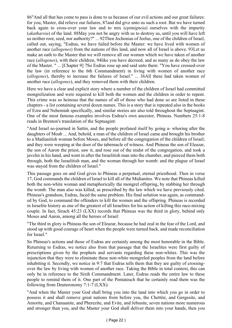86"And all that has come to pass is done to us because of our evil actions and our great failures: for you, Master, did relieve our failures, 87and did give unto us such a root. But we have turned back again to cross-over your law and to mix (*epimigneia*) ourselves with the impurity (*akatharsia*) of the land. 88May you not be angry with us to destroy us, until you will have left us neither root, seed, nor authority?" ... 92Then Jechonias of Jeelus, one of the children of Israel, called out, saying, "Esdras, we have failed before the Master: we have lived with women of another race (*allogenes*) from the nations of this land, and now all of Israel is above. 93Let us make an oath to the Master that we will remove all our women which we have taken of another race (*allogenes*), with their children, 94like you have decreed, and as many as do obey the law of the Master. " ... [Chapter 9] 7So Esdras rose up and said unto them: "You have crossed-over the law (in reference to the 6th Commandment) in living with women of another race (*allogenes*), thereby to increase the failures of Israel." ... 36All these had taken women of another race (*allogenes*), and they removed them with their children.

Here we have a clear and explicit story where a number of the children of Israel had committed mongrelization and were required to kill both the women and the children in order to repent. This crime was so heinous that the names of all of those who had done so are listed in these chapters - a list containing several dozen names. This is a story that is repeated also in the books of Ezra and Nehemiah specifically, and similar stories are also told throughout the Septuagint. One of the most famous examples involves Esdras's own ancestor, Phineas. Numbers 25:1-8 reads in Brenton's translation of the Septuagint:

"And Israel so-journed in Sattin, and the people profaned itself by going a- whoring after the daughters of Moab ... And, behold, a man of the children of Israel came and brought his brother to a Madianitish woman before Moses, and before all the congregation of the children of Israel; and they were weeping at the door of the tabernacle of witness. And Phineas the son of Eleazar, the son of Aaron the priest, saw it, and rose out of the midst of the congregation, and took a javelin in his hand, and went in after the Israelitish man into the chamber, and pierced them both through, both the Israelitish man, and the woman through her womb: and the plague of Israel was stayed from the children of Israel."

This passage goes on and God gives to Phineas a perpetual, eternal priesthood. Then in verse 17, God commands the children of Israel to kill all of the Midianites. We note that Phineas killed both the non-white woman and metaphorically the mongrel offspring, by stabbing her through the womb. The man also was killed, as prescribed by the law which we have previously cited. Phineas's grandson, Esdras, faced the same problem. His final solution was again, as commanded by God, to command the offenders to kill the women and the offspring. Phineas is recorded in Israelite history as one of the greatest of all Israelites for his action of killing this race-mixing couple. In fact, Sirach 45:23 (LXX) records that Phineas was the third in glory, behind only Moses and Aaron, among all the heroes of Israel:

"The third in glory is Phineas the son of Eleazar, because he had zeal in the fear of the Lord, and stood up with good courage of heart when the people were turned back, and made reconciliation for Israel."

So Phineas's actions and those of Esdras are certainly among the most honorable in the Bible. Returning to Esdras, we notice also from that passage that the Israelites were first guilty of prescriptions given by the prophets and servants regarding these non-whites. This was the injunction that they were to eliminate these non-white mongreled peoples from the land before inhabiting it. Secondly, we notice in 9:7 that Esdras tells them that they are guilty of crossingover the law by living with women of another race. Taking the Bible in total context, this can only be in reference to the Sixth Commandment. Later, Esdras reads the entire law to these people to remind them of it. One part of the Pentateuch that he certainly read them was the following from Deuteronomy 7:1-7 (LXX):

"And when the Master your God shall bring you into the land into which you go in order to possess it and shall remove great nations from before you, the Chettite, and Gergesite, and Amorite, and Chanaanite, and Pherezite, and Evite, and Jebusite, seven nations more numerous and stronger than you, and the Master your God shall deliver them into your hands, then you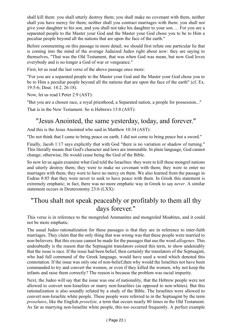shall kill them: you shall utterly destroy them; you shall make no covenant with them, neither shall you have mercy for them; neither shall you contract marriages with them: you shall not give your daughter to his son, and you shall not take his daughter to your son. ... For you are a separated people to the Master your God and the Master your God chose you to be to Him a peculiar people beyond all the nations that are upon the face of the earth."

Before commenting on this passage in more detail, we should first refute one particular lie that is coming into the mind of the average Judaized Judeo right about now: they are saying to themselves, "That was the Old Testament, that was when God was mean, but now God loves everybody and is no longer a God of war or vengeance."

First, let us read the last verse of the above passage once more:

"For you are a separated people to the Master your God and the Master your God chose you to be to Him a peculiar people beyond all the nations that are upon the face of the earth" (cf. Ex. 19:5-6; Deut. 14:2, 26:18).

Now, let us read I Peter 2:9 (AST):

"But you are a chosen race, a royal priesthood, a Separated nation, a people for possession..."

That is in the New Testament. So is Hebrews 13:8 (AST):

## "Jesus Anointed, the same yesterday, today, and forever."

And this is the Jesus Anointed who said in Matthew 10:34 (AST):

"Do not think that I came to bring peace on earth. I did not come to bring peace but a sword."

Finally, Jacob 1:17 says explicitly that with God "there is no variation or shadow of turning." This literally means that God's character and laws are immutable. In plain language, God cannot change; otherwise, He would cease being the God of the Bible.

So now let us again examine what God told the Israelites: they were to kill these mongrel nations and utterly destroy them; they were to make no covenant with them; they were to enter no marriages with them; they were to have no mercy on them. We also learned from the passage in Esdras 8:85 that they were never to seek to have peace with them. In Greek this statement is extremely emphatic; in fact, there was no more emphatic way in Greek to say *never*. A similar statement occurs in Deuteronomy 23:6 (LXX):

## "Thou shalt not speak peaceably or profitably to them all thy days forever."

This verse is in reference to the mongreled Ammanites and mongreled Moabites, and it could not be more emphatic.

The usual Judeo rationalization for these passages is that they are in reference to inter-faith marriages. They claim that the only thing that was wrong was that these people were married to non-believers. But this excuse cannot be made for the passages that use the word *allogenes*. This undoubtedly is the reason that the Septuagint translators coined this term, to show undeniably that the issue is race. If the issue had been belief, then certainly the translators of the Septuagint, who had full command of the Greek language, would have used a word which denoted this connotation. If the issue was only one of non-belief,then why would the Israelites not have been commanded to try and convert the women, or even if they killed the women, why not keep the infants and raise them correctly? The reason is because the problem was racial impurity.

Next, the Judeo will say that the issue was one of nationality, that the Hebrew people were not allowed to convert non-Israelites or marry non-Israelites (as opposed to non-whites). But this rationalization is also soundly refuted by a study of the Bible. The Israelites were allowed to convert non-Israelite white people. These people were referred to in the Septuagint by the term *proselutos*, like the English *proselyte,* a term that occurs nearly 80 times in the Old Testament. As far as marrying non-Israelite white people, this too occurred frequently. A perfect example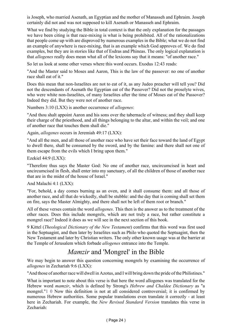is Joseph, who married Asenath, an Egyptian and the mother of Manasseh and Ephraim. Joseph certainly did not and was not supposed to kill Asenath or Manasseh and Ephraim.

What we find by studying the Bible in total context is that the only explanation for the passages we have been citing is that race-mixing is what is being prohibited. All of the rationalizations that people come up with are disproved by numerous examples in the Bible; what we do not find an example of anywhere is race-mixing, that is an example which God approves of. We do find examples, but they are in stories like that of Esdras and Phineas. The only logical explanation is that *allogenes* really does mean what all of the lexicons say that it means: "of another race."

So let us look at some other verses where this word occurs. Exodus 12:43 reads:

"And the Master said to Moses and Aaron, This is the law of the passover: no one of another race shall eat of it."

Does this mean that non-Israelites are not to eat of it, as any Judeo preacher will tell you? Did not the descendants of Asenath the Egyptian eat of the Passover? Did not the proselyte wives, who were white non-Israelites, of many Israelites after the time of Moses eat of the Passover? Indeed they did. But they were not of another race.

Numbers 3:10 (LXX) is another occurrence of *allogenes*:

"And thou shalt appoint Aaron and his sons over the tabernacle of witness; and they shall keep their charge of the priesthood, and all things belonging to the altar, and within the veil; and one of another race that touches them shall die."

Again, *allogenes* occurs in Jeremiah 49:17 (LXX):

"And all the men, and all those of another race who have set their face toward the land of Egypt to dwell there, shall be consumed by the sword, and by the famine: and there shall not one of them escape from the evils which I bring upon them."

Ezekiel 44:9 (LXX):

"Therefore thus says the Master God: No one of another race, uncircumcised in heart and uncircumcised in flesh, shall enter into my sanctuary, of all the children of those of another race that are in the midst of the house of Israel."

And Malachi 4:1 (LXX):

"For, behold, a day comes burning as an oven, and it shall consume them: and all those of another race, and all that do wickedly, shall be stubble: and the day that is coming shall set them on fire, says the Master Almighty, and there shall not be left of them root or branch."

All of these verses contain the word *allogenes*. This then is the answer as to the treatment of the other races. Does this include mongrels, which are not truly a race, but rather constitute a mongrel race? Indeed it does as we will see in the next section of this book.

9 Kittel (*Theological Dictionary of the New Testament*) confirms that this word was first used in the Septuagint, and then later by Israelites such as Philo who quoted the Septuagint, then the New Testament and later by Christian writers. The only other known usage was at the barrier at the Temple of Jerusalem which forbade *allogenes* entrance into the Temple.

## *Mamzir* and 'Mongrel' in the Bible

We may begin to answer this question concerning mongrels by examining the occurrence of *allogenes* in Zechariah 9:6 (LXX):

"And those of another race will dwell in Azotus, and I will bring down the pride of the Philistines."

What is important to note about this verse is that here the word allogenes was translated for the Hebrew word *mamzir*, which is defined by Strong's *Hebrew and Chaldee Dictionary* as "a mongrel."1 0 Now this definition is not at all considered controversial; it is confirmed by numerous Hebrew authorities. Some popular translations even translate it correctly - at least here in Zechariah. For example, the *New Revised Standard Version* translates this verse in Zechariah: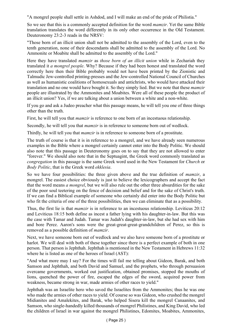"A mongrel people shall settle in Ashdod, and I will make an end of the pride of Philistia."

So we see that this is a commonly accepted definition for the word *mamzir*. Yet the same Bible translation translates the word differently in its only other occurrence in the Old Testament. Deuteronomy 23:2-3 reads in the NRSV:

"Those born of an illicit union shall not be admitted to the assembly of the Lord, even to the tenth generation, none of their descendants shall be admitted to the assembly of the Lord. No Ammonite or Moabite shall be admitted to the assembly of the Lord."

Here they have translated *mamzir* as *those born of an illicit union* while in Zechariah they translated it *a mongrel people*. Why? Because if they had been honest and translated the word correctly here then their Bible probably would not have been printed by the Zionistic and Talmudic Jew-controlled printing-presses and the Jew-controlled National Council of Churches as well as humanistic coalitions of homosexuals and antichrists, who would have attacked their translation and no one would have bought it. So they simply lied. But we note that these *mamzir* people are illustrated by the Ammonites and Moabites. Were all of these people the product of an illicit union? Yes, if we are talking about a union between a white and a non-white.

If you go and ask a Judeo preacher what this passage means, he will tell you one of three things other than the truth.

First, he will tell you that *mamzir* is reference to one born of an incestuous relationship.

Secondly, he will tell you that *mamzir* is in reference to someone born out of wedlock.

Thirdly, he will tell you that *mamzir* is in reference to someone born of a prostitute.

The truth of course is that it is in reference to a mongrel, and we have already seen numerous examples in the Bible where a mongrel certainly cannot enter into the Body Politic. We should also note that this passage in Deuteronomy goes on to say that they are not allowed to enter "forever." We should also note that in the Septuagint, the Greek word commonly translated as *congregation* in this passage is the same Greek word used in the New Testament for *Church* or *Body Politic*, that is the Greek word *ekklesia*.

So we have four possibilities: the three given above and the true definition of *mamzir*, a mongrel. The easiest choice obviously is just to believe the lexicographers and accept the fact that the word means *a mongrel*, but we will also rule out the other three absurdities for the sake of the poor soul teetering on the fence of decision and belief and for the sake of Christ's truth. If we can find a Biblical example of someone who certainly did enter into the Body Politic but who fit the criteria of one of the three possibilities, then we can eliminate that as a possibility.

Thus, the first lie is that *mamzir* is in reference to an incestuous relationship. Leviticus 20:12 and Leviticus 18:15 both define as incest a father lying with his daughter-in-law. But this was the case with Tamar and Judah. Tamar was Judah's daughter-in-law, but she had sex with him and bore Perez. Aaron's sons were the great-great-great-grandchildren of Perez, so this is removed as a possible definition of *mamzir*.

Next, we have someone born out of wedlock and we also have someone born of a prostitute or harlot. We will deal with both of these together since there is a perfect example of both in one person. That person is Jephthah. Jephthah is mentioned in the New Testament in Hebrews 11:32 where he is listed as one of the heroes of Israel (AST):

"And what more may I say? For the times will fail me telling about Gideon, Barak, and both Samson and Jephthah, and both David and Samuel, and the prophets, who through persuasion overcame governments, worked out justification, obtained promises, stopped the mouths of lions, quenched the power of fire, escaped the edges of the sword, acquired power from weakness, became strong in war, made armies of other races to yield."

Jephthah was an Israelite hero who saved the Israelites from the Ammonites; thus he was one who made the armies of other races to yield. Of course so was Gideon, who crushed the mongrel Midianites and Amalekites, and Barak, who helped Sisera kill the mongrel Canaanites, and Samson, who single-handedly killed thousands of mongrel Philistines, and King David, who led the children of Israel in war against the mongrel Philistines, Edomites, Moabites, Ammonites,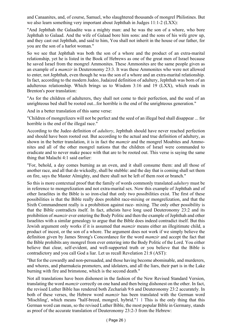and Canaanites, and, of course, Samuel, who slaughtered thousands of mongrel Philistines. But we also learn something very important about Jephthah in Judges 11:1-2 (LXX):

"And Jephthah the Galaadite was a mighty man: and he was the son of a whore, who bore Jephthah to Galaad. And the wife of Galaad bore him sons: and the sons of his wife grew up, and they cast out Jephthah, and said to him, You shall not inherit in the house of our father, for you are the son of a harlot woman."

So we see that Jephthah was both the son of a whore and the product of an extra-marital relationship, yet he is listed in the Book of Hebrews as one of the great men of Israel because he saved Israel from the mongrel Ammonites. These Ammonites are the same people given as an example of a *mamzir* in Deuteronomy 23:3. It was these Ammonites who were not allowed to enter, not Jephthah, even though he was the son of a whore and an extra-marital relationship. In fact, according to the modern Judeo, Judaized definition of adultery, Jephthah was born of an adulterous relationship. Which brings us to Wisdom 3:16 and 19 (LXX), which reads in Brenton's poor translation:

"As for the children of adulterers, they shall not come to their perfection, and the seed of an unrighteous bed shall be rooted out...for horrible is the end of the unrighteous generation."

And in a better translation of this same verse:

"Children of mongrelizers will not be perfect and the seed of an illegal bed shall disappear ... for horrible is the end of the illegal race."

According to the Judeo definition of *adultery*, Jephthah should have never reached perfection and should have been rooted out. But according to the actual and true definition of adultery, as shown in the better translation, it is in fact the *mamzir* and the mongrel Moabites and Ammonites and all of the other mongrel nations that the children of Israel were commanded to eradicate and to never make peace with that are to be rooted out. This verse is saying the same thing that Malachi 4:1 said earlier:

"For, behold, a day comes burning as an oven, and it shall consume them: and all those of another race, and all that do wickedly, shall be stubble: and the day that is coming shall set them on fire, says the Master Almighty, and there shall not be left of them root or branch."

So this is more contextual proof that the family of words commonly translated *adultery* must be in reference to mongrelization and not extra-marital sex. Now this example of Jephthah and of other Israelites in the Bible is so iron-clad that only two possibilities exist. The first of these possibilities is that the Bible really does prohibit race-mixing or mongrelization, and that the Sixth Commandment really is a prohibition against race- mixing. The only other possibility is that the Bible contradicts itself. In fact, atheists have long used Deuteronomy 23:2 and its prohibition of *mamzir* ever entering the Body Politic and then the example of Jephthah and other Israelites with a similar genealogy to argue that the Bible does indeed contradict itself. But this Jewish argument only works if it is assumed that *mamzir* means either an illegitimate child, a product of incest, or the son of a whore. The argument does not work if we simply believe the definition given by James Strong's Concordance for the word *mamzir* and accept the fact that the Bible prohibits any mongrel from ever entering into the Body Politic of the Lord. You either believe that clear, self-evident, and well-supported truth or you believe that the Bible is contradictory and you call God a liar. Let us recall Revelation 21:8 (AST):

"But for the cowardly and non-persuaded, and those having become abominable, and murderers, and whores, and pharmakeia promoters, and idolaters, and all the liars, their part is in the Lake burning with fire and brimstone, which is the second death."

Not all translations have been dishonest in the fashion of the New Revised Standard Version, translating the word *mamzir* correctly on one hand and then being dishonest on the other. In fact, the revised Luther Bible has rendered both Zechariah 9:6 and Deuteronomy 23:2 accurately. In both of these verses, the Hebrew word *mamzir* has been translated with the German word 'Mischling', which means "half-breed, mongrel, hybrid."1 1 This is the only thing that this German word can mean, so the revised Luther Bible, the most popular Bible in Germany, stands as proof of the accurate translation of Deuteronomy 23:2-3 from the Hebrew: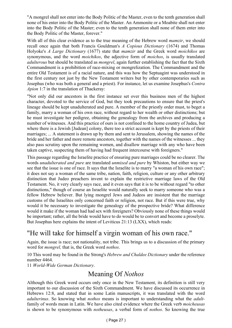"A mongrel shall not enter into the Body Politic of the Master, even to the tenth generation shall none of his enter into the Body Politic of the Master. An Ammonite or a Moabite shall not enter into the Body Politic of the Master; even to the tenth generation shall none of them enter into the Body Politic of the Master, forever."

With all of this clear evidence as to the true meaning of the Hebrew word *mamzir*, we should recall once again that both Francis Gouldman's *A Copious Dictionary* (1674) and Thomas Holyoke's *A Large Dictionary* (1677) state that *mamzir* and the Greek word *moichikos* are synonymous, and the word *moichikos*, the adjective form of *moichos*, is usually translated *adulterous* but should be translated as *mongrel*, again further establishing the fact that the Sixth Commandment is a prohibition of race-mixing or mongrelization. The Commandment and the entire Old Testament is of a racial nature, and this was how the Septuagint was understood in the first century not just by the New Testament writers but by other contemporaries such as Josephus (who was both a general and a priest). For instance, let us examine Josephus's *Contra Apion* 1:7 in the translation of Thackeray:

"Not only did our ancestors in the first instance set over this business men of the highest character, devoted to the service of God, but they took precautions to ensure that the priest's lineage should be kept unadulterated and pure. A member of the priestly order must, to beget a family, marry a woman of his own race, without regard to her wealth or other distinctions; but he must investigate her pedigree, obtaining the genealogy from the archives and producing a number of witnesses. And this practice of ours is not confined to the home country of Judea, but where there is a Jewish [Judean] colony, there too a strict account is kept by the priests of their marriages; ... A statement is drawn up by them and sent to Jerusalem, showing the names of the bride and her father and more remote ancestors, together with the names of the witnesses ... they also pass scrutiny upon the remaining women, and disallow marriage with any who have been taken captive, suspecting them of having had frequent intercourse with foreigners."

This passage regarding the Israelite practice of ensuring pure marriages could be no clearer. The words *unadulterated and pure* are translated *unmixed and pure* by Whiston, but either way we see that the issue is one of race. It says that the Israelite is to marry "a woman of his own race"; it does not say a woman of the same tribe, nation, faith, religion, culture or any other arbitrary distinction that Judeo preachers invent to explain the restrictive marriage laws of the Old Testament. No, it very clearly says race, and it even says that it is to be without regard "to other distinctions," though of course an Israelite would naturally seek to marry someone who was a fellow Hebrew believer. But lying mongrel Jews and Judeos are insistent that the marriage customs of the Israelites only concerned faith or religion, not race. But if this were true, why would it be necessary to investigate the genealogy of the prospective bride? What difference would it make if the woman had had sex with foreigners? Obviously none of these things would be important; rather, all the bride would have to do would be to convert and become a proselyte. But Josephus here explains the intent of Leviticus 21:13 (LXX), which reads:

## "He will take for himself a virgin woman of his own race."

Again, the issue is race; not nationality, not tribe. This brings us to a discussion of the primary word for *mongrel,* that is, the Greek word *nothos*.

10 This word may be found in the Strong's *Hebrew and Chaldee Dictionary* under the reference number 4464.

11 *World-Wide German Dictionary*.

## Meaning Of *Nothos*

Although this Greek word occurs only once in the New Testament, its definition is still very important to our discussion of the Sixth Commandment. We have discussed its occurrence in Hebrews 12:8, and stated that in some Latin manuscripts, it was translated with the word *adulterinus*. So knowing what *nothos* means is important to understanding what the *adult*family of words mean in Latin. We have also cited evidence where the Greek verb *moicheusas* is shown to be synonymous with *notheusas*, a verbal form of *nothos*. So knowing the true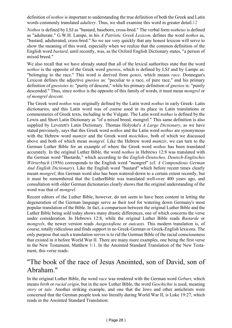definition of *nothos* is important to understanding the true definition of both the Greek and Latin words commonly translated *adultery*. Thus, we shall examine this word in greater detail.12

*Nothos* is defined by LSJ as "bastard, baseborn, cross-bred." The verbal form *notheuo* is defined as "adulterate." G.W.H. Lampe, in his *A Patristic Greek Lexicon,* defines the word *nothos* as, "bastard, adulterated, cross-bred." So we see very quickly that any honest lexicon will serve to show the meaning of this word, especially when we realize that the common definition of the English word *bastard*, until recently, was, as the Oxford English Dictionary states, "a person of mixed breed."

We also recall that we have already stated that all of the lexical authorities state that the word *nothos* is the opposite of the Greek word *gnesios*, which is defined by LSJ and by Lampe as: "belonging to the race." This word is derived from *genos*, which means *race*. Donnegan's Lexicon defines the adjective *gnesios* as: "peculiar to a race, of pure race," and his primary definition of *gnesiotes* is: "purity of descent," while his primary definition of *gnesios* is: "purely descended." Thus, since *nothos* is the opposite of this family of words, it must mean *mongrel* or *of mongrel descent*.

The Greek word *nothos* was originally defined by the Latin word *nothus* in early Greek- Latin dictionaries, and this Latin word was of course used in its place in Latin translations or commentaries of Greek texts, including in the Vulgate. The Latin word *nothus* is defined by the Lewis and Short Latin Dictionary as "of a mixed breed, mongrel." This same definition is also supplied by Leverett's Latin Dictionary. Thomas Holyoke's *A Large Dictionary*, as we have stated previously, says that this Greek word *nothos* and the Latin word *nothus* are synonymous with the Hebrew word *mamzir* and the Greek word *moichikos*, both of which we discussed above and both of which mean *mongrel*. Like the Hebrew word *mamzir*, we can turn to the German Luther Bible for an example of where the Greek word *nothos* has been translated accurately. In the original Luther Bible, the word *nothos* in Hebrews 12:8 was translated with the German word "Bastarde," which according to the *English-Deutsches, Deutsch-Englisches Wörterbuch* (1956) corresponds to the English word "mongrel" (cf. *A Compendious German And English Dictionary*). Like the English word "bastard" which before recent times clearly meant *mongrel*, this German word also has been watered-down to a certain extent recently, but it must be remembered that the LutherBible was translated well-over 400 years ago, and consultation with older German dictionaries clearly shows that the original understanding of the word was that of *mongrel*.

Recent editors of the Luther Bible, however, do not seem to have been content in letting the degeneration of the German language serve as their tool for watering down Germany's most popular translation of the Bible. In fact, a comparison between the original Luther Bible and the Luther Bible being sold today shows many drastic differences, one of which concerns the verse under consideration. In Hebrews 12:8, while the original Luther Bible reads *Bastarde* or *mongrels*, the newer version reads *Ausgestoßene* or *outcasts.* This modern translation is, of course, totally ridiculous and finds support in no Greek-German or Greek-English lexicons. The only purpose that such a translation serves is to rid the German Bible of the racial consciousness that existed in it before World War II. There are many more examples, one being the first verse in the New Testament, Matthew 1:1. In the Anointed Standard Translation of the New Testament, this verse reads:

## "The book of the race of Jesus Anointed, son of David, son of Abraham."

In the original Luther Bible, the word *race* was rendered with the German word *Geburt*, which means *birth* or *racial origin*, but in the new Luther Bible, the word *Geschichte* is used, meaning *story* or *tale.* Another striking example, and one that the Jews and other antichrists were concerned that the German people took too literally during World War II, is Luke 19:27, which reads in the Anointed Standard Translation: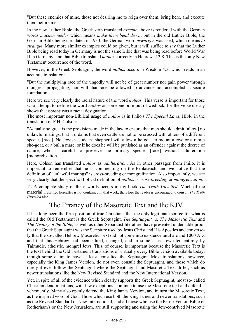"But these enemies of mine, those not desiring me to reign over them, bring here, and execute them before me"

In the new Luther Bible, the Greek verb translated *execute* above is rendered with the German words *machen nieder* which means *make them bend down*, but in the old Luther Bible, the German Bible being circulated in 1933, the German word *erwürgen* was used, which means *to strangle*. Many more similar examples could be given, but it will suffice to say that the Luther Bible being read today in Germany is not the same Bible that was being read before World War II in Germany, and that Bible translated *nothos* correctly in Hebrews 12:8. This is the only New Testament occurrence of the word.

However, in the Greek Septuagint, the word *nothos* occurs in Wisdom 4:3, which reads in an accurate translation:

"But the multiplying race of the ungodly will not be of great number nor gain power through mongrels propagating, nor will that race be allowed to advance nor accomplish a secure foundation."

Here we see very clearly the racial nature of the word *nothos*. This verse is important for those who attempt to define the word *nothos* as someone born out of wedlock, for the verse clearly shows that *nothos* was a racial designation.

The most important non-Biblical usage of *nothos* is in Philo's *The Special Laws*, III:46 in the translation of F.H. Colson:

"Actually so great is the provisions made in the law to ensure that men should admit [allow] no unlawful matings, that it ordains that even cattle are not to be crossed with others of a different species [race]. No Jewish [Judean] shepherd will allow a he-goat to mount a ewe or a ram a she-goat, or a bull a mare, or if he does he will be punished as an offender against the decree of nature, who is careful to preserve the primary species [race] without adulteration [mongrelization]."

Here, Colson has translated *nothos* as *adulteration*. As in other passages from Philo, it is important to remember that he is commenting on the Pentateuch, and we notice that the definition of "unlawful matings" is cross-breeding or mongrelization. Also importantly, we see very clearly that the specific Biblical definition of *nothos* is *cross-breeding* or *mongrelization*.

12 A complete study of these words occurs in my book *The Truth Unveiled*. Much of the material presented hereafter is not contained in that work, therefore the reader is encouraged to consult *The Truth Unveiled* also.

## The Errancy of the Masoretic Text and the KJV

It has long been the firm position of true Christians that the only legitimate source for what is called the Old Testament is the Greek Septuagint. *The Septuagint vs. The Masoretic Text* and *The History of the Bible*, as well as other Separatist literature, have presented undeniable proof that the Greek Septuagint was the Scripture used by Jesus Christ and His Apostles and conversely that the so-called Hebrew Masoretic Text did not come into existence until around 1000 AD, and that this Hebrew had been edited, changed, and in some cases rewritten entirely by Talmudic, atheistic, mongrel Jews. This, of course, is important because the Masoretic Text is the text behind the Old Testament translations of virtually every Bible version available today, though some claim to have at least consulted the Septuagint. Most translations, however, especially the King James Version, do not even consult the Septuagint, and those which do rarely if ever follow the Septuagint where the Septuagint and Masoretic Text differ, such as newer translations like the New Revised Standard and the New International Version.

Yet, in spite of all of the evidence which clearly supports the Greek Septuagint, most so- called Christian denominations, with few exceptions, continue to use the Masoretic text and defend it vehemently. Many also openly defend the King James Version, and in turn the Masoretic Text, as the inspired word of God. Those which use both the King James and newer translations, such as the Revised Standard or New International, and all those who use the Ferrar Fenton Bible or Rotherham's or the New Jerusalem, are still supporting and using the Jew-contrived Masoretic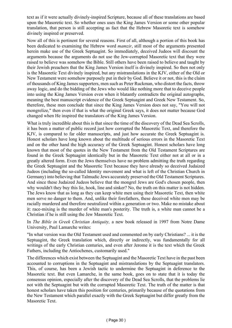text as if it were actually divinely-inspired Scripture, because all of these translations are based upon the Masoretic text. So whether ones uses the King James Version or some other popular translation, that person is still accepting as fact that the Hebrew Masoretic text is somehow divinely inspired or preserved.

Now all of this is pertinent for several reasons. First of all, although a portion of this book has been dedicated to examining the Hebrew word *mamzir*, still most of the arguments presented herein make use of the Greek Septuagint. So immediately, deceived Judeos will discount the arguments because the arguments do not use the Jew-corrupted Masoretic text that they were raised to believe was somehow the Bible. Still others have been raised to believe and taught by their Jewish preachers that the King James Version itself is divinely inspired. So then not only is the Masoretic Text divinely inspired, but any mistranslations in the KJV, either of the Old or New Testament were somehow purposely put in their by God. Believe it or not, this is the claim of thousands of King James supporters, men such as Peter Ruckman, who distort the facts, throw away logic, and do the bidding of the Jews who would like nothing more that to deceive people into using the King James Version even when it blatantly contradicts the original autographs, meaning the best manuscript evidence of the Greek Septuagint and Greek New Testament. So, therefore, these men conclude that since the King James Version does not say, "You will not mongrelize," then even if that is what the original Greek says, it does not matter because God changed when He inspired the translators of the King James Version.

What is truly incredible about this is that since the time of the discovery of the Dead Sea Scrolls, it has been a matter of public record just how corrupted the Masoretic Text, and therefore the KJV, is compared to far older manuscripts, and just how accurate the Greek Septuagint is. Honest scholars have long known about the multitude of serious errors in the Masoretic Text and on the other hand the high accuracy of the Greek Septuagint. Honest scholars have long known that most of the quotes in the New Testament from the Old Testament Scriptures are found in the Greek Septuagint identically but in the Masoretic Text either not at all or in a greatly altered form. Even the Jews themselves have no problem admitting the truth regarding the Greek Septuagint and the Masoretic Text because they have already so deceived Judaized Judeos (including the so-called Identity movement and what is left of the Christian Church in Germany) into believing that Talmudic Jews accurately preserved the Old Testament Scriptures. And since these Judaized Judeos believe that the mongrel Jews are God's chosen people, then why wouldn't they buy this lie, hook, line and sinker? No, the truth on this matter is not hidden. The Jews know that as long as they can keep white men using their Masoretic Text, then white men serve no danger to them. And, unlike their forefathers, these deceived white men may be racially murdered and therefore neutralized within a generation or two. Make no mistake about it: race-mixing is the murder of white man's posterity. The truth is, a white man cannot be a Christian if he is still using the Jew Masoretic Text.

In *The Bible in Greek Christian Antiquity,* a new book released in 1997 from Notre Dame University, Paul Lamarche writes:

"In what version was the Old Testament used and commented on by early Christians? ... it is the Septuagint, the Greek translation which, directly or indirectly, was fundamentally for all writings of the early Christian centuries, and even after Jerome it is the text which the Greek Fathers, including the Antiochenes, customarily used."

The differences which exist between the Septuagint and the Masoretic Text have in the past been accounted to corruptions in the Septuagint and mistranslations by the Septuagint translators. This, of course, has been a Jewish tactic to undermine the Septuagint in deference to the Masoretic text. But even Lamarche, in the same book, goes on to state that it is today the consensus opinion, especially after the discovery of the Dead Sea Scrolls, that the problems lie not with the Septuagint but with the corrupted Masoretic Text. The truth of the matter is that honest scholars have taken this position for centuries, primarily because of the quotations from the New Testament which parallel exactly with the Greek Septuagint but differ greatly from the Masoretic Text.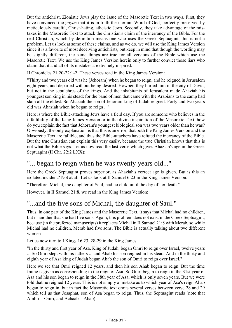But the antichrist, Zionistic Jews play the issue of the Masoretic Text in two ways. First, they have convinced the *goyim* that it is in truth the inerrant Word of God, perfectly preserved by meticulously careful, Christ-hating, atheistic Jews. Secondly, they take advantage of the mistakes in the Masoretic Text to attack the Christian's claim of the inerrancy of the Bible. For the real Christian, which by definition means one who uses the Greek Septuagint, this is not a problem. Let us look at some of these claims, and as we do, we will use the King James Version since it is a favorite of most deceiving antichrists, but keep in mind that though the wording may be slightly different, the same things are true for all versions of the Bible which use the Masoretic Text. We use the King James Version herein only to further convict those liars who claim that it and all of its mistakes are divinely inspired.

II Chronicles 21:20-22:1-2. These verses read in the King James Version:

"Thirty and two years old was he [Jehoram] when he began to reign, and he reigned in Jerusalem eight years, and departed without being desired. Howbeit they buried him in the city of David, but not in the sepulchres of the kings. And the inhabitants of Jerusalem made Ahaziah his youngest son king in his stead: for the band of men that came with the Arabians to the camp had slain all the eldest. So Ahaziah the son of Jehoram king of Judah reigned. Forty and two years old was Ahaziah when he began to reign ..."

Here is where the Bible-attacking Jews have a field day. If you are someone who believes in the infallibility of the King James Version or in the divine inspiration of the Masoretic Text, how do you explain the fact that Jehoram's youngest biological son was two years older than he was? Obviously, the only explanation is that this is an error, that both the King James Version and the Masoretic Text are fallible, and thus the Bible-attackers have refuted the inerrancy of the Bible. But the true Christian can explain this very easily, because the true Christian knows that this is not what the Bible says. Let us now read the last verse which gives Ahaziah's age in the Greek Septuagint (II Chr. 22:2 LXX):

### "... began to reign when he was twenty years old..."

Here the Greek Septuagint proves superior, as Ahaziah's correct age is given. But is this an isolated incident? Not at all. Let us look at II Samuel 6:23 in the King James Version:

"Therefore, Michal, the daughter of Saul, had no child until the day of her death."

However, in II Samuel 21:8, we read in the King James Version:

## "...and the five sons of Michal, the daughter of Saul."

Thus, in one part of the King James and the Masoretic Text, it says that Michal had no children, but in another that she had five sons. Again, this problem does not exist in the Greek Septuagint, because (in the preferred manuscripts) it replaces Michal in II Samuel 21:8 with Merab, so while Michal had no children, Merab had five sons. The Bible is actually talking about two different women.

Let us now turn to I Kings 16:23, 28-29 in the King James:

"In the thirty and first year of Asa, King of Judah, began Omri to reign over Israel, twelve years ... So Omri slept with his fathers ... and Ahab his son reigned in his stead. And in the thirty and eighth year of Asa king of Judah began Ahab the son of Omri to reign over Israel."

Here we see that Omri reigned 12 years, and then his son Ahab began to reign. But the time frame is given as corresponding to the reign of Asa. So Omri began to reign in the 31st year of Asa and his son began to reign in the 38th year of Asa, which is only seven years. But we were told that he reigned 12 years. This is not simply a mistake as to which year of Asa's reign Ahab began to reign in, but in fact the Masoretic text omits several verses between verse 28 and 29 which tell us that Josaphat, son of Asa began to reign. Thus, the Septuagint reads (note that Ambri = Omri, and Achaab = Ahab):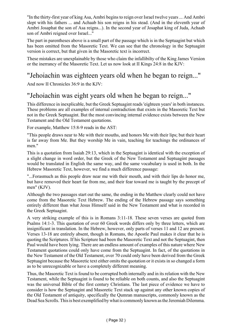"In the thirty-first year of king Asa, Ambri begins to reign over Israel twelve years ... And Ambri slept with his fathers ... and Achaab his son reigns in his stead. (And in the eleventh year of Ambri Josaphat the son of Asa reigns...). In the second year of Josaphat king of Juda, Achaab son of Ambri reigned over Israel..."

The part in parentheses above is a small part of the passage which is in the Septuagint but which has been omitted from the Masoretic Text. We can see that the chronology in the Septuagint version is correct, but that given in the Masoretic text is incorrect.

These mistakes are unexplainable by those who claim the infallibilty of the King James Version or the inerrancy of the Masoretic Text. Let us now look at II Kings 24:8 in the KJV:

## "Jehoiachin was eighteen years old when he began to reign..."

And now II Chronicles 36:9 in the KJV:

## "Jehoiachin was eight years old when he began to reign..."

This difference in inexplicable, but the Greek Septuagint reads 'eighteen years' in both instances. These problems are all examples of internal contradiction that exists in the Masoretic Text but not in the Greek Septuagint. But the most convincing internal evidence exists between the New Testament and the Old Testament quotations.

For example, Matthew 15:8-9 reads in the AST:

"This people draws near to Me with their mouths, and honors Me with their lips; but their heart is far away from Me. But they worship Me in vain, teaching for teachings the ordinances of men."

This is a quotation from Isaiah 29:13, which in the Septuagint is identical with the exception of a slight change in word order, but the Greek of the New Testament and Septuagint passages would be translated in English the same way, and the same vocabulary is used in both. In the Hebrew Masoretic Text, however, we find a much difference passage:

"...Forasmuch as this people draw near me with their mouth, and with their lips do honor me, but have removed their heart far from me, and their fear toward me is taught by the precept of men" (KJV).

Although the two passages start out the same, the ending in the Matthew clearly could not have come from the Masoretic Text Hebrew. The ending of the Hebrew passage says something entirely different than what Jesus Himself said in the New Testament and what is recorded in the Greek Septuagint.

A very striking example of this is in Romans 3:11-18. These seven verses are quoted from Psalms 14:1-3. This quotation of over 60 Greek words differs only by three letters, which are insignificant in translation. In the Hebrew, however, only parts of verses 11 and 12 are present. Verses 13-18 are entirely absent, though in Romans, the Apostle Paul makes it clear that he is quoting the Scriptures. If his Scripture had been the Masoretic Text and not the Septuagint, then Paul would have been lying. There are an endless amount of examples of this nature where New Testament quotations could only have come from the Septuagint. In fact, of the quotations in the New Testament of the Old Testament, over 70 could only have been derived from the Greek Septuagint because the Masoretic text either omits the quotation or it exists in so changed a form as to be unrecognizable or have a completely different meaning.

Thus, the Masoretic Text is found to be corrupted both internally and in its relation with the New Testament, while the Septuagint is found to be reliable on both counts, and also the Septuagint was the universal Bible of the first century Christians. The last piece of evidence we have to consider is how the Septuagint and Masoretic Text stack up against any other known copies of the Old Testament of antiquity, specifically the Qumran manuscripts, commonly known as the Dead Sea Scrolls. This is best exemplified by what is commonly known as the Jeremiah Dilemma.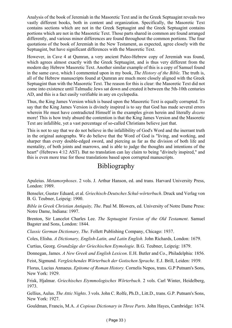Analysis of the book of Jeremiah in the Masoretic Text and in the Greek Septuagint reveals two vastly different books, both in content and organization. Specifically, the Masoretic Text contains sections which are not in the Greek Septuagint and the Greek Septuagint contains portions which are not in the Masoretic Text. Those parts shared in common are found arranged differently, and various minor differences are found throughout the common portions. The four quotations of the book of Jeremiah in the New Testament, as expected, agree closely with the Septuagint, but have significant differences with the Masoretic Text.

However, in Cave 4 at Qumran, a very ancient Paleo-Hebrew copy of Jeremiah was found, which agrees almost exactly with the Greek Septuagint, and is thus very different from the modern day Hebrew Masoretic Text. Another similar example of this is a copy of Samuel found in the same cave, which I commented upon in my book, *The History of the Bible*. The truth is, all of the Hebrew manuscripts found at Qumran are much more closely aligned with the Greek Septuagint than with the Masoretic Text. The reason for this is clear: the Masoretic Text did not come into existence until Talmudic Jews sat down and created it between the 5th-10th centuries AD, and this is a fact easily verifiable in any en cyclopedia.

Thus, the King James Version which is based upon the Masoretic Text is equally corrupted. To say that the King James Version is divinely inspired is to say that God has made several errors wherein He must have contradicted Himself in the examples given herein and literally *dozens* more! This is how truly absurd the contention is that the King James Version and the Masoretic Text are infallible, yet a vast percentage of so-called Christians believe just that.

This is not to say that we do not believe in the infallibility of God's Word and the inerrant truth in the original autographs. We do believe that the Word of God is "living, and working, and sharper than every double-edged sword, and piercing as far as the division of both life and mentality, of both joints and marrows, and is able to judge the thoughts and intentions of the heart" (Hebrews 4:12 AST). But no translation can lay claim to being "divinely inspired," and this is even more true for those translations based upon corrupted manuscripts.

## Bibliography

Apuleius. *Metamorphoses*. 2 vols. J. Arthur Hanson, ed. and trans. Harvard University Press, London: 1989.

Benseler, Gustav Eduard, et al. *Griechisch-Deutsches Schul-wörterbuch*. Druck und Verlag von B. G. Teubner, Leipzig: 1900.

*Bible in Greek Christian Antiquity, The*. Paul M. Blowers, ed. University of Notre Dame Press: Notre Dame, Indiana: 1997.

Brenton, Sir Lancelot Charles Lee. *The Septuagint Version of the Old Testament*. Samuel Bagster and Sons, London: 1844.

*Classic German Dictionary, The*. Follett Publishing Company, Chicago: 1937.

Coles, Elisha. *A Dictionary, English-Latin, and Latin English.* John Richards, London: 1679.

Curtius, Georg. *Grundzüge der Griechischen Etymologie*. B.G. Teubner, Leipzig: 1879.

Donnegan, James. *A New Greek and English Lexicon*. E.H. Butler and Co., Philadelphia: 1856.

Feist, Sigmund. *Vergleichendes Wörterbuch der Gotischen Sprache*. E.J. Brill, Leiden: 1939.

Florus, Lucius Annaeus. *Epitome of Roman History.* Cornelis Nepos, trans. G.P Putnam's Sons, New York: 1929.

Frisk, Hjalmar. *Griechisches Etymmologisches Wörterbuch*. 2 vols. Carl Winter, Heidelberg, 1973.

Gellius, Aulus. *The Attic Nights*. 3 vols. John C. Rolfe, Ph.D., Litt.D., trans. G.P. Putnam's Sons, New York: 1927.

Gouldman, Francis, M.A. *A Copious Dictionary in Three Parts*. John Hayes, Cambridge: 1674.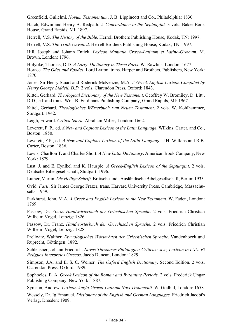Greenfield, Gulielmi. *Novum Testamentum*. J. B. Lippincott and Co., Philadelphia: 1830.

Hatch, Edwin and Henry A. Redpath. *A Concordance to the Septuagint.* 3 vols. Baker Book House, Grand Rapids, MI: 1897.

Herrell, V.S. *The History of the Bible*. Herrell Brothers Publishing House, Kodak, TN: 1997.

Herrell, V.S. *The Truth Unveiled*. Herrell Brothers Publishing House, Kodak, TN: 1997.

Hill, Joseph and Johann Entick. *Lexicon Manuale Græco-Latinum et Latino-Græcum*. M. Brown, London: 1796.

Holyoke, Thomas, D.D. *A Large Dictionary in Three Parts*. W. Rawlins, London: 1677. Horace. *The Odes and Epodes*. Lord Lytton, trans. Harper and Brothers, Publishers, New York: 1870.

Jones, Sir Henry Stuart and Roderick McKenzie, M.A. *A Greek-English Lexicon Compiled by Henry George Liddell, D.D.* 2 vols. Clarendon Press, Oxford: 1843.

Kittel, Gerhard. *Theological Dictionary of the New Testament*. Geoffrey W. Bromiley, D. Litt., D.D., ed. and trans. Wm. B. Eerdmans Publishing Company, Grand Rapids, MI: 1967.

Kittel, Gerhard. *Theologisches Wörterbuch zum Neuen Testament*. 2 vols. W. Kohlhammer, Stuttgart: 1942.

Leigh, Edward. *Critica Sacra*. Abraham Miller, London: 1662.

Leverett, F. P., ed. *A New and Copious Lexicon of the Latin Language*. Wilkins, Carter, and Co., Boston: 1850.

Leverett, F.P., ed. *A New and Copious Lexicon of the Latin Language*. J.H. Wilkins and R.B. Carter, Boston: 1836.

Lewis, Charlton T. and Charles Short. *A New Latin Dictionary*. American Book Company, New York: 1879.

Lust, J. and E. Eynikel and K. Hauspie. *A Greek-English Lexicon of the Septuagint*. 2 vols. Deutsche Bibelgesellschaft, Stuttgart: 1996.

Luther, Martin. *Die Heilige Schrift*. Britische unde Ausländische Bibelgesellschaft, Berlin: 1933.

Ovid. *Fasti*. Sir James George Frazer, trans. Harvard University Press, Cambridge, Massachusetts: 1959.

Parkhurst, John, M.A. *A Greek and English Lexicon to the New Testament*. W. Faden, London: 1769.

Passow, Dr. Franz. *Handwörterbuch der Griechischen Sprache.* 2 vols. Friedrich Christian Wilhelm Vogel, Leipzig: 1826.

Passow, Dr. Franz. *Handwörterbuch der Griechischen Sprache.* 2 vols. Friedrich Christian Wilhelm Vogel, Leipzig: 1828.

Prellwitz, Walther. *Etymologisches Wörterbuch der Griechischen Sprache*. Vandenhoeck und Ruprecht, Göttingen: 1892.

Schleusner, Johann Friedrich. *Novus Thesaurus Philologico-Criticus: sive, Lexicon in LXX. Et Religuos Interpretes Græcos*. Jacob Duncan, London: 1829.

Simpson, J.A. and E. S. C. Weiner. *The Oxford English Dictionary.* Second Edition. 2 vols. Clarendon Press, Oxford: 1989.

Sophocles, E. A. *Greek Lexicon of the Roman and Byzantine Periods*. 2 vols. Frederick Ungar Publishing Company, New York: 1887.

Symson, Andrew. *Lexicon Anglo-Græco-Latinum Novi Testamenti.* W. Godbid, London: 1658.

Wessely, Dr. Ig Emanuel. *Dictionary of the English and German Languages.* Friedrich Jacobi's Verlag, Dresden: 1909.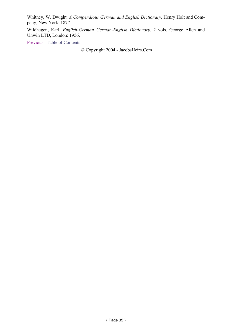Whitney, W. Dwight. *A Compendious German and English Dictionary*. Henry Holt and Company, New York: 1877.

Wildhagen, Karl. *English-German German-English Dictionary*. 2 vols. George Allen and Unwin LTD, London: 1956.

Previous | Table of Contents

© Copyright 2004 - JacobsHeirs.Com